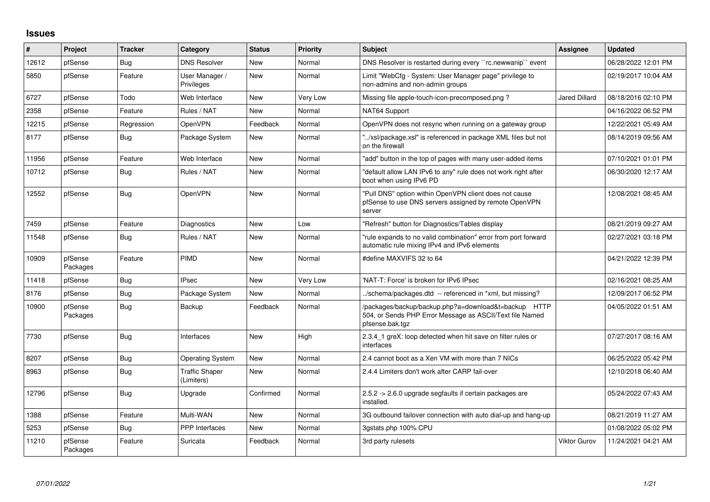## **Issues**

| $\vert$ # | <b>Project</b>      | <b>Tracker</b> | Category                            | <b>Status</b> | <b>Priority</b> | <b>Subject</b>                                                                                                                      | <b>Assignee</b> | <b>Updated</b>      |
|-----------|---------------------|----------------|-------------------------------------|---------------|-----------------|-------------------------------------------------------------------------------------------------------------------------------------|-----------------|---------------------|
| 12612     | pfSense             | Bug            | <b>DNS Resolver</b>                 | New           | Normal          | DNS Resolver is restarted during every "rc.newwanip" event                                                                          |                 | 06/28/2022 12:01 PM |
| 5850      | pfSense             | Feature        | User Manager /<br>Privileges        | New           | Normal          | Limit "WebCfg - System: User Manager page" privilege to<br>non-admins and non-admin groups                                          |                 | 02/19/2017 10:04 AM |
| 6727      | pfSense             | Todo           | Web Interface                       | New           | Very Low        | Missing file apple-touch-icon-precomposed.png?                                                                                      | Jared Dillard   | 08/18/2016 02:10 PM |
| 2358      | pfSense             | Feature        | Rules / NAT                         | New           | Normal          | NAT64 Support                                                                                                                       |                 | 04/16/2022 06:52 PM |
| 12215     | pfSense             | Regression     | OpenVPN                             | Feedback      | Normal          | OpenVPN does not resync when running on a gateway group                                                                             |                 | 12/22/2021 05:49 AM |
| 8177      | pfSense             | Bug            | Package System                      | New           | Normal          | "/xsl/package.xsl" is referenced in package XML files but not<br>on the firewall                                                    |                 | 08/14/2019 09:56 AM |
| 11956     | pfSense             | Feature        | Web Interface                       | <b>New</b>    | Normal          | "add" button in the top of pages with many user-added items                                                                         |                 | 07/10/2021 01:01 PM |
| 10712     | pfSense             | <b>Bug</b>     | Rules / NAT                         | New           | Normal          | "default allow LAN IPv6 to any" rule does not work right after<br>boot when using IPv6 PD                                           |                 | 06/30/2020 12:17 AM |
| 12552     | pfSense             | Bug            | OpenVPN                             | New           | Normal          | "Pull DNS" option within OpenVPN client does not cause<br>pfSense to use DNS servers assigned by remote OpenVPN<br>server           |                 | 12/08/2021 08:45 AM |
| 7459      | pfSense             | Feature        | Diagnostics                         | <b>New</b>    | Low             | "Refresh" button for Diagnostics/Tables display                                                                                     |                 | 08/21/2019 09:27 AM |
| 11548     | pfSense             | Bug            | Rules / NAT                         | New           | Normal          | 'rule expands to no valid combination" error from port forward<br>automatic rule mixing IPv4 and IPv6 elements                      |                 | 02/27/2021 03:18 PM |
| 10909     | pfSense<br>Packages | Feature        | <b>PIMD</b>                         | New           | Normal          | #define MAXVIFS 32 to 64                                                                                                            |                 | 04/21/2022 12:39 PM |
| 11418     | pfSense             | <b>Bug</b>     | <b>IPsec</b>                        | <b>New</b>    | Very Low        | 'NAT-T: Force' is broken for IPv6 IPsec                                                                                             |                 | 02/16/2021 08:25 AM |
| 8176      | pfSense             | Bug            | Package System                      | New           | Normal          | ./schema/packages.dtd -- referenced in *xml, but missing?                                                                           |                 | 12/09/2017 06:52 PM |
| 10900     | pfSense<br>Packages | <b>Bug</b>     | Backup                              | Feedback      | Normal          | /packages/backup/backup.php?a=download&t=backup HTTP<br>504, or Sends PHP Error Message as ASCII/Text file Named<br>pfsense.bak.tgz |                 | 04/05/2022 01:51 AM |
| 7730      | pfSense             | <b>Bug</b>     | Interfaces                          | <b>New</b>    | High            | 2.3.4 1 greX: loop detected when hit save on filter rules or<br>interfaces                                                          |                 | 07/27/2017 08:16 AM |
| 8207      | pfSense             | Bug            | <b>Operating System</b>             | New           | Normal          | 2.4 cannot boot as a Xen VM with more than 7 NICs                                                                                   |                 | 06/25/2022 05:42 PM |
| 8963      | pfSense             | Bug            | <b>Traffic Shaper</b><br>(Limiters) | New           | Normal          | 2.4.4 Limiters don't work after CARP fail-over                                                                                      |                 | 12/10/2018 06:40 AM |
| 12796     | pfSense             | Bug            | Upgrade                             | Confirmed     | Normal          | 2.5.2 -> 2.6.0 upgrade segfaults if certain packages are<br>installed.                                                              |                 | 05/24/2022 07:43 AM |
| 1388      | pfSense             | Feature        | Multi-WAN                           | <b>New</b>    | Normal          | 3G outbound failover connection with auto dial-up and hang-up                                                                       |                 | 08/21/2019 11:27 AM |
| 5253      | pfSense             | <b>Bug</b>     | <b>PPP</b> Interfaces               | <b>New</b>    | Normal          | 3gstats.php 100% CPU                                                                                                                |                 | 01/08/2022 05:02 PM |
| 11210     | pfSense<br>Packages | Feature        | Suricata                            | Feedback      | Normal          | 3rd party rulesets                                                                                                                  | Viktor Gurov    | 11/24/2021 04:21 AM |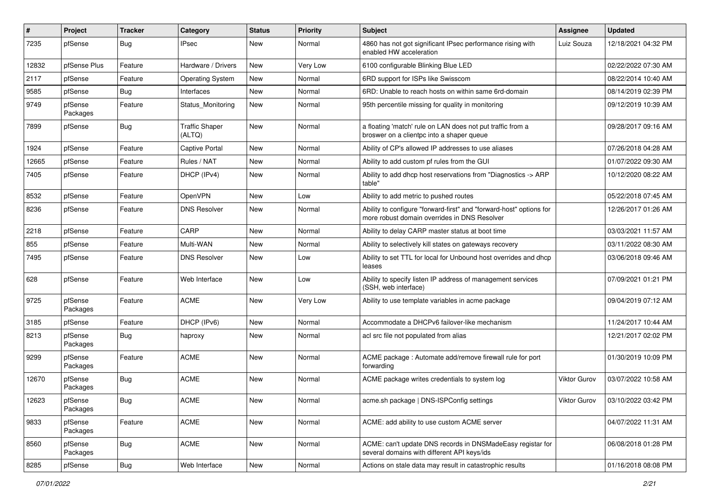| #     | Project             | <b>Tracker</b> | Category                        | <b>Status</b> | <b>Priority</b> | Subject                                                                                                             | <b>Assignee</b> | <b>Updated</b>      |
|-------|---------------------|----------------|---------------------------------|---------------|-----------------|---------------------------------------------------------------------------------------------------------------------|-----------------|---------------------|
| 7235  | pfSense             | Bug            | <b>IPsec</b>                    | New           | Normal          | 4860 has not got significant IPsec performance rising with<br>enabled HW acceleration                               | Luiz Souza      | 12/18/2021 04:32 PM |
| 12832 | pfSense Plus        | Feature        | Hardware / Drivers              | New           | Very Low        | 6100 configurable Blinking Blue LED                                                                                 |                 | 02/22/2022 07:30 AM |
| 2117  | pfSense             | Feature        | <b>Operating System</b>         | New           | Normal          | 6RD support for ISPs like Swisscom                                                                                  |                 | 08/22/2014 10:40 AM |
| 9585  | pfSense             | Bug            | Interfaces                      | New           | Normal          | 6RD: Unable to reach hosts on within same 6rd-domain                                                                |                 | 08/14/2019 02:39 PM |
| 9749  | pfSense<br>Packages | Feature        | Status Monitoring               | New           | Normal          | 95th percentile missing for quality in monitoring                                                                   |                 | 09/12/2019 10:39 AM |
| 7899  | pfSense             | Bug            | <b>Traffic Shaper</b><br>(ALTQ) | New           | Normal          | a floating 'match' rule on LAN does not put traffic from a<br>broswer on a clientpc into a shaper queue             |                 | 09/28/2017 09:16 AM |
| 1924  | pfSense             | Feature        | <b>Captive Portal</b>           | <b>New</b>    | Normal          | Ability of CP's allowed IP addresses to use aliases                                                                 |                 | 07/26/2018 04:28 AM |
| 12665 | pfSense             | Feature        | Rules / NAT                     | New           | Normal          | Ability to add custom pf rules from the GUI                                                                         |                 | 01/07/2022 09:30 AM |
| 7405  | pfSense             | Feature        | DHCP (IPv4)                     | New           | Normal          | Ability to add dhcp host reservations from "Diagnostics -> ARP<br>table"                                            |                 | 10/12/2020 08:22 AM |
| 8532  | pfSense             | Feature        | OpenVPN                         | <b>New</b>    | Low             | Ability to add metric to pushed routes                                                                              |                 | 05/22/2018 07:45 AM |
| 8236  | pfSense             | Feature        | <b>DNS Resolver</b>             | New           | Normal          | Ability to configure "forward-first" and "forward-host" options for<br>more robust domain overrides in DNS Resolver |                 | 12/26/2017 01:26 AM |
| 2218  | pfSense             | Feature        | CARP                            | New           | Normal          | Ability to delay CARP master status at boot time                                                                    |                 | 03/03/2021 11:57 AM |
| 855   | pfSense             | Feature        | Multi-WAN                       | <b>New</b>    | Normal          | Ability to selectively kill states on gateways recovery                                                             |                 | 03/11/2022 08:30 AM |
| 7495  | pfSense             | Feature        | <b>DNS Resolver</b>             | New           | Low             | Ability to set TTL for local for Unbound host overrides and dhcp<br>leases                                          |                 | 03/06/2018 09:46 AM |
| 628   | pfSense             | Feature        | Web Interface                   | New           | Low             | Ability to specify listen IP address of management services<br>(SSH, web interface)                                 |                 | 07/09/2021 01:21 PM |
| 9725  | pfSense<br>Packages | Feature        | <b>ACME</b>                     | New           | Very Low        | Ability to use template variables in acme package                                                                   |                 | 09/04/2019 07:12 AM |
| 3185  | pfSense             | Feature        | DHCP (IPv6)                     | New           | Normal          | Accommodate a DHCPv6 failover-like mechanism                                                                        |                 | 11/24/2017 10:44 AM |
| 8213  | pfSense<br>Packages | Bug            | haproxy                         | New           | Normal          | acl src file not populated from alias                                                                               |                 | 12/21/2017 02:02 PM |
| 9299  | pfSense<br>Packages | Feature        | <b>ACME</b>                     | <b>New</b>    | Normal          | ACME package : Automate add/remove firewall rule for port<br>forwarding                                             |                 | 01/30/2019 10:09 PM |
| 12670 | pfSense<br>Packages | Bug            | <b>ACME</b>                     | New           | Normal          | ACME package writes credentials to system log                                                                       | Viktor Gurov    | 03/07/2022 10:58 AM |
| 12623 | pfSense<br>Packages | Bug            | $\mathsf{ACME}$                 | New           | Normal          | acme.sh package   DNS-ISPConfig settings                                                                            | Viktor Gurov    | 03/10/2022 03:42 PM |
| 9833  | pfSense<br>Packages | Feature        | ACME                            | New           | Normal          | ACME: add ability to use custom ACME server                                                                         |                 | 04/07/2022 11:31 AM |
| 8560  | pfSense<br>Packages | <b>Bug</b>     | ACME                            | New           | Normal          | ACME: can't update DNS records in DNSMadeEasy registar for<br>several domains with different API keys/ids           |                 | 06/08/2018 01:28 PM |
| 8285  | pfSense             | Bug            | Web Interface                   | New           | Normal          | Actions on stale data may result in catastrophic results                                                            |                 | 01/16/2018 08:08 PM |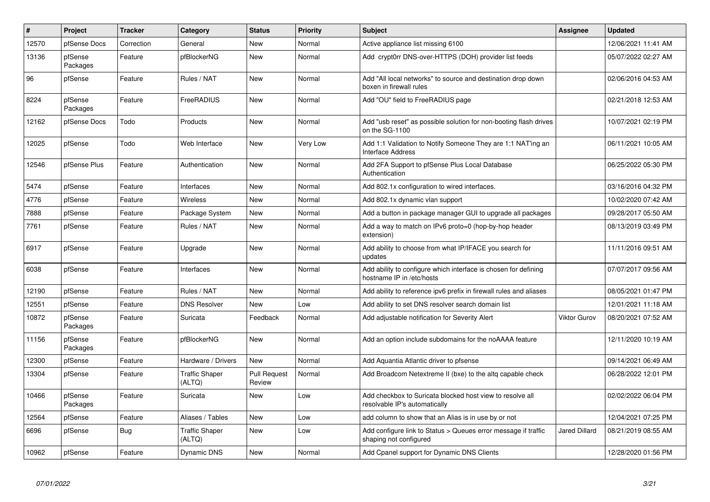| $\vert$ # | Project             | <b>Tracker</b> | Category                        | <b>Status</b>                 | <b>Priority</b> | <b>Subject</b>                                                                               | <b>Assignee</b>      | <b>Updated</b>      |
|-----------|---------------------|----------------|---------------------------------|-------------------------------|-----------------|----------------------------------------------------------------------------------------------|----------------------|---------------------|
| 12570     | pfSense Docs        | Correction     | General                         | New                           | Normal          | Active appliance list missing 6100                                                           |                      | 12/06/2021 11:41 AM |
| 13136     | pfSense<br>Packages | Feature        | pfBlockerNG                     | <b>New</b>                    | Normal          | Add crypt0rr DNS-over-HTTPS (DOH) provider list feeds                                        |                      | 05/07/2022 02:27 AM |
| 96        | pfSense             | Feature        | Rules / NAT                     | <b>New</b>                    | Normal          | Add "All local networks" to source and destination drop down<br>boxen in firewall rules      |                      | 02/06/2016 04:53 AM |
| 8224      | pfSense<br>Packages | Feature        | FreeRADIUS                      | New                           | Normal          | Add "OU" field to FreeRADIUS page                                                            |                      | 02/21/2018 12:53 AM |
| 12162     | pfSense Docs        | Todo           | Products                        | New                           | Normal          | Add "usb reset" as possible solution for non-booting flash drives<br>on the SG-1100          |                      | 10/07/2021 02:19 PM |
| 12025     | pfSense             | Todo           | Web Interface                   | New                           | Very Low        | Add 1:1 Validation to Notify Someone They are 1:1 NAT'ing an<br><b>Interface Address</b>     |                      | 06/11/2021 10:05 AM |
| 12546     | pfSense Plus        | Feature        | Authentication                  | New                           | Normal          | Add 2FA Support to pfSense Plus Local Database<br>Authentication                             |                      | 06/25/2022 05:30 PM |
| 5474      | pfSense             | Feature        | Interfaces                      | <b>New</b>                    | Normal          | Add 802.1x configuration to wired interfaces.                                                |                      | 03/16/2016 04:32 PM |
| 4776      | pfSense             | Feature        | Wireless                        | New                           | Normal          | Add 802.1x dynamic vlan support                                                              |                      | 10/02/2020 07:42 AM |
| 7888      | pfSense             | Feature        | Package System                  | New                           | Normal          | Add a button in package manager GUI to upgrade all packages                                  |                      | 09/28/2017 05:50 AM |
| 7761      | pfSense             | Feature        | Rules / NAT                     | New                           | Normal          | Add a way to match on IPv6 proto=0 (hop-by-hop header<br>extension)                          |                      | 08/13/2019 03:49 PM |
| 6917      | pfSense             | Feature        | Upgrade                         | <b>New</b>                    | Normal          | Add ability to choose from what IP/IFACE you search for<br>updates                           |                      | 11/11/2016 09:51 AM |
| 6038      | pfSense             | Feature        | Interfaces                      | New                           | Normal          | Add ability to configure which interface is chosen for defining<br>hostname IP in /etc/hosts |                      | 07/07/2017 09:56 AM |
| 12190     | pfSense             | Feature        | Rules / NAT                     | New                           | Normal          | Add ability to reference ipv6 prefix in firewall rules and aliases                           |                      | 08/05/2021 01:47 PM |
| 12551     | pfSense             | Feature        | <b>DNS Resolver</b>             | <b>New</b>                    | Low             | Add ability to set DNS resolver search domain list                                           |                      | 12/01/2021 11:18 AM |
| 10872     | pfSense<br>Packages | Feature        | Suricata                        | Feedback                      | Normal          | Add adjustable notification for Severity Alert                                               | Viktor Gurov         | 08/20/2021 07:52 AM |
| 11156     | pfSense<br>Packages | Feature        | pfBlockerNG                     | <b>New</b>                    | Normal          | Add an option include subdomains for the noAAAA feature                                      |                      | 12/11/2020 10:19 AM |
| 12300     | pfSense             | Feature        | Hardware / Drivers              | <b>New</b>                    | Normal          | Add Aquantia Atlantic driver to pfsense                                                      |                      | 09/14/2021 06:49 AM |
| 13304     | pfSense             | Feature        | <b>Traffic Shaper</b><br>(ALTQ) | <b>Pull Request</b><br>Review | Normal          | Add Broadcom Netextreme II (bxe) to the altg capable check                                   |                      | 06/28/2022 12:01 PM |
| 10466     | pfSense<br>Packages | Feature        | Suricata                        | <b>New</b>                    | Low             | Add checkbox to Suricata blocked host view to resolve all<br>resolvable IP's automatically   |                      | 02/02/2022 06:04 PM |
| 12564     | pfSense             | Feature        | Aliases / Tables                | <b>New</b>                    | Low             | add column to show that an Alias is in use by or not                                         |                      | 12/04/2021 07:25 PM |
| 6696      | pfSense             | Bug            | <b>Traffic Shaper</b><br>(ALTQ) | New                           | Low             | Add configure link to Status > Queues error message if traffic<br>shaping not configured     | <b>Jared Dillard</b> | 08/21/2019 08:55 AM |
| 10962     | pfSense             | Feature        | Dynamic DNS                     | New                           | Normal          | Add Cpanel support for Dynamic DNS Clients                                                   |                      | 12/28/2020 01:56 PM |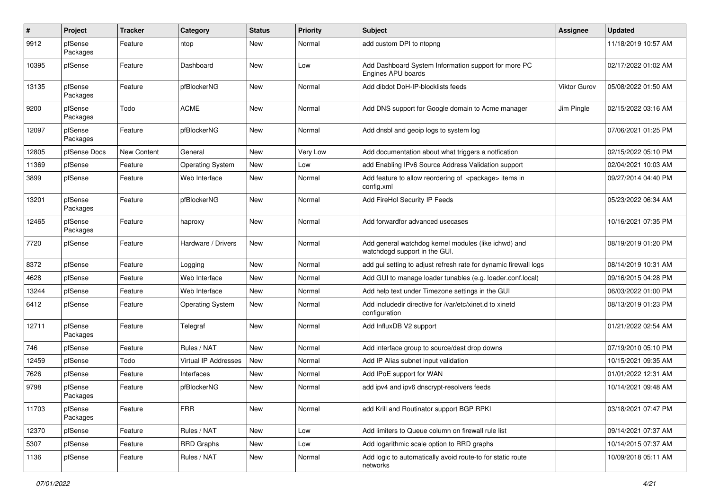| #     | Project             | <b>Tracker</b> | Category                    | <b>Status</b> | <b>Priority</b> | Subject                                                                               | <b>Assignee</b>     | <b>Updated</b>      |
|-------|---------------------|----------------|-----------------------------|---------------|-----------------|---------------------------------------------------------------------------------------|---------------------|---------------------|
| 9912  | pfSense<br>Packages | Feature        | ntop                        | New           | Normal          | add custom DPI to ntopng                                                              |                     | 11/18/2019 10:57 AM |
| 10395 | pfSense             | Feature        | Dashboard                   | New           | Low             | Add Dashboard System Information support for more PC<br>Engines APU boards            |                     | 02/17/2022 01:02 AM |
| 13135 | pfSense<br>Packages | Feature        | pfBlockerNG                 | <b>New</b>    | Normal          | Add dibdot DoH-IP-blocklists feeds                                                    | <b>Viktor Gurov</b> | 05/08/2022 01:50 AM |
| 9200  | pfSense<br>Packages | Todo           | <b>ACME</b>                 | <b>New</b>    | Normal          | Add DNS support for Google domain to Acme manager                                     | Jim Pingle          | 02/15/2022 03:16 AM |
| 12097 | pfSense<br>Packages | Feature        | pfBlockerNG                 | New           | Normal          | Add dnsbl and geoip logs to system log                                                |                     | 07/06/2021 01:25 PM |
| 12805 | pfSense Docs        | New Content    | General                     | New           | Very Low        | Add documentation about what triggers a notfication                                   |                     | 02/15/2022 05:10 PM |
| 11369 | pfSense             | Feature        | <b>Operating System</b>     | New           | Low             | add Enabling IPv6 Source Address Validation support                                   |                     | 02/04/2021 10:03 AM |
| 3899  | pfSense             | Feature        | Web Interface               | New           | Normal          | Add feature to allow reordering of <package> items in<br/>config.xml</package>        |                     | 09/27/2014 04:40 PM |
| 13201 | pfSense<br>Packages | Feature        | pfBlockerNG                 | <b>New</b>    | Normal          | Add FireHol Security IP Feeds                                                         |                     | 05/23/2022 06:34 AM |
| 12465 | pfSense<br>Packages | Feature        | haproxy                     | New           | Normal          | Add forwardfor advanced usecases                                                      |                     | 10/16/2021 07:35 PM |
| 7720  | pfSense             | Feature        | Hardware / Drivers          | New           | Normal          | Add general watchdog kernel modules (like ichwd) and<br>watchdogd support in the GUI. |                     | 08/19/2019 01:20 PM |
| 8372  | pfSense             | Feature        | Logging                     | <b>New</b>    | Normal          | add qui setting to adjust refresh rate for dynamic firewall logs                      |                     | 08/14/2019 10:31 AM |
| 4628  | pfSense             | Feature        | Web Interface               | New           | Normal          | Add GUI to manage loader tunables (e.g. loader.conf.local)                            |                     | 09/16/2015 04:28 PM |
| 13244 | pfSense             | Feature        | Web Interface               | New           | Normal          | Add help text under Timezone settings in the GUI                                      |                     | 06/03/2022 01:00 PM |
| 6412  | pfSense             | Feature        | <b>Operating System</b>     | New           | Normal          | Add includedir directive for /var/etc/xinet.d to xinetd<br>configuration              |                     | 08/13/2019 01:23 PM |
| 12711 | pfSense<br>Packages | Feature        | Telegraf                    | New           | Normal          | Add InfluxDB V2 support                                                               |                     | 01/21/2022 02:54 AM |
| 746   | pfSense             | Feature        | Rules / NAT                 | New           | Normal          | Add interface group to source/dest drop downs                                         |                     | 07/19/2010 05:10 PM |
| 12459 | pfSense             | Todo           | <b>Virtual IP Addresses</b> | New           | Normal          | Add IP Alias subnet input validation                                                  |                     | 10/15/2021 09:35 AM |
| 7626  | pfSense             | Feature        | Interfaces                  | New           | Normal          | Add IPoE support for WAN                                                              |                     | 01/01/2022 12:31 AM |
| 9798  | pfSense<br>Packages | Feature        | pfBlockerNG                 | New           | Normal          | add ipv4 and ipv6 dnscrypt-resolvers feeds                                            |                     | 10/14/2021 09:48 AM |
| 11703 | pfSense<br>Packages | Feature        | <b>FRR</b>                  | New           | Normal          | add Krill and Routinator support BGP RPKI                                             |                     | 03/18/2021 07:47 PM |
| 12370 | pfSense             | Feature        | Rules / NAT                 | New           | Low             | Add limiters to Queue column on firewall rule list                                    |                     | 09/14/2021 07:37 AM |
| 5307  | pfSense             | Feature        | <b>RRD Graphs</b>           | New           | Low             | Add logarithmic scale option to RRD graphs                                            |                     | 10/14/2015 07:37 AM |
| 1136  | pfSense             | Feature        | Rules / NAT                 | New           | Normal          | Add logic to automatically avoid route-to for static route<br>networks                |                     | 10/09/2018 05:11 AM |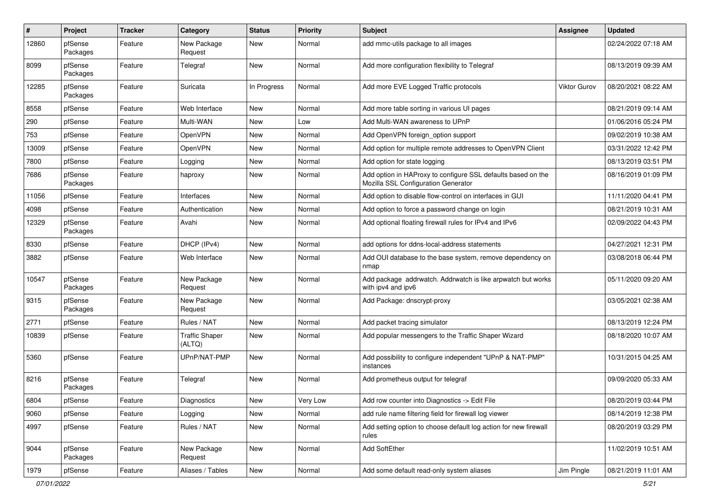| #     | Project             | <b>Tracker</b> | Category                        | <b>Status</b> | <b>Priority</b> | Subject                                                                                             | <b>Assignee</b>     | <b>Updated</b>      |
|-------|---------------------|----------------|---------------------------------|---------------|-----------------|-----------------------------------------------------------------------------------------------------|---------------------|---------------------|
| 12860 | pfSense<br>Packages | Feature        | New Package<br>Request          | New           | Normal          | add mmc-utils package to all images                                                                 |                     | 02/24/2022 07:18 AM |
| 8099  | pfSense<br>Packages | Feature        | Telegraf                        | New           | Normal          | Add more configuration flexibility to Telegraf                                                      |                     | 08/13/2019 09:39 AM |
| 12285 | pfSense<br>Packages | Feature        | Suricata                        | In Progress   | Normal          | Add more EVE Logged Traffic protocols                                                               | <b>Viktor Gurov</b> | 08/20/2021 08:22 AM |
| 8558  | pfSense             | Feature        | Web Interface                   | New           | Normal          | Add more table sorting in various UI pages                                                          |                     | 08/21/2019 09:14 AM |
| 290   | pfSense             | Feature        | Multi-WAN                       | New           | Low             | Add Multi-WAN awareness to UPnP                                                                     |                     | 01/06/2016 05:24 PM |
| 753   | pfSense             | Feature        | OpenVPN                         | New           | Normal          | Add OpenVPN foreign option support                                                                  |                     | 09/02/2019 10:38 AM |
| 13009 | pfSense             | Feature        | OpenVPN                         | New           | Normal          | Add option for multiple remote addresses to OpenVPN Client                                          |                     | 03/31/2022 12:42 PM |
| 7800  | pfSense             | Feature        | Logging                         | New           | Normal          | Add option for state logging                                                                        |                     | 08/13/2019 03:51 PM |
| 7686  | pfSense<br>Packages | Feature        | haproxy                         | New           | Normal          | Add option in HAProxy to configure SSL defaults based on the<br>Mozilla SSL Configuration Generator |                     | 08/16/2019 01:09 PM |
| 11056 | pfSense             | Feature        | Interfaces                      | <b>New</b>    | Normal          | Add option to disable flow-control on interfaces in GUI                                             |                     | 11/11/2020 04:41 PM |
| 4098  | pfSense             | Feature        | Authentication                  | New           | Normal          | Add option to force a password change on login                                                      |                     | 08/21/2019 10:31 AM |
| 12329 | pfSense<br>Packages | Feature        | Avahi                           | New           | Normal          | Add optional floating firewall rules for IPv4 and IPv6                                              |                     | 02/09/2022 04:43 PM |
| 8330  | pfSense             | Feature        | DHCP (IPv4)                     | New           | Normal          | add options for ddns-local-address statements                                                       |                     | 04/27/2021 12:31 PM |
| 3882  | pfSense             | Feature        | Web Interface                   | New           | Normal          | Add OUI database to the base system, remove dependency on<br>nmap                                   |                     | 03/08/2018 06:44 PM |
| 10547 | pfSense<br>Packages | Feature        | New Package<br>Request          | New           | Normal          | Add package addrwatch. Addrwatch is like arpwatch but works<br>with ipv4 and ipv6                   |                     | 05/11/2020 09:20 AM |
| 9315  | pfSense<br>Packages | Feature        | New Package<br>Request          | New           | Normal          | Add Package: dnscrypt-proxy                                                                         |                     | 03/05/2021 02:38 AM |
| 2771  | pfSense             | Feature        | Rules / NAT                     | New           | Normal          | Add packet tracing simulator                                                                        |                     | 08/13/2019 12:24 PM |
| 10839 | pfSense             | Feature        | <b>Traffic Shaper</b><br>(ALTQ) | New           | Normal          | Add popular messengers to the Traffic Shaper Wizard                                                 |                     | 08/18/2020 10:07 AM |
| 5360  | pfSense             | Feature        | UPnP/NAT-PMP                    | New           | Normal          | Add possibility to configure independent "UPnP & NAT-PMP"<br>instances                              |                     | 10/31/2015 04:25 AM |
| 8216  | pfSense<br>Packages | Feature        | Telegraf                        | New           | Normal          | Add prometheus output for telegraf                                                                  |                     | 09/09/2020 05:33 AM |
| 6804  | pfSense             | Feature        | Diagnostics                     | New           | Very Low        | Add row counter into Diagnostics -> Edit File                                                       |                     | 08/20/2019 03:44 PM |
| 9060  | pfSense             | Feature        | Logging                         | New           | Normal          | add rule name filtering field for firewall log viewer                                               |                     | 08/14/2019 12:38 PM |
| 4997  | pfSense             | Feature        | Rules / NAT                     | New           | Normal          | Add setting option to choose default log action for new firewall<br>rules                           |                     | 08/20/2019 03:29 PM |
| 9044  | pfSense<br>Packages | Feature        | New Package<br>Request          | New           | Normal          | Add SoftEther                                                                                       |                     | 11/02/2019 10:51 AM |
| 1979  | pfSense             | Feature        | Aliases / Tables                | New           | Normal          | Add some default read-only system aliases                                                           | Jim Pingle          | 08/21/2019 11:01 AM |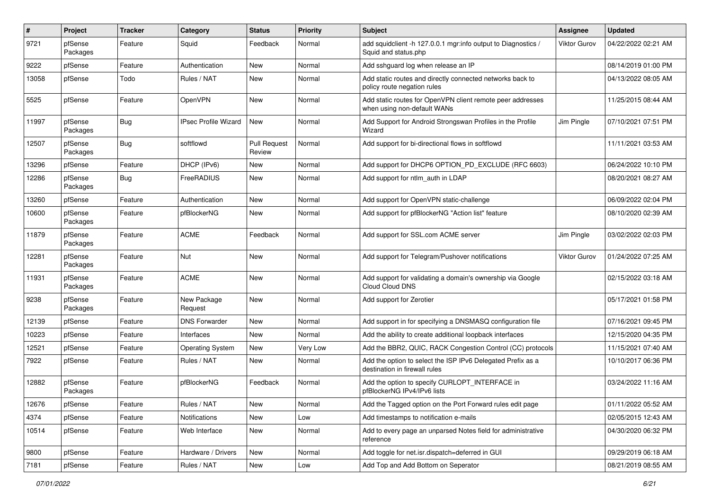| #     | Project             | <b>Tracker</b> | Category                    | <b>Status</b>                 | Priority | Subject                                                                                      | <b>Assignee</b> | <b>Updated</b>      |
|-------|---------------------|----------------|-----------------------------|-------------------------------|----------|----------------------------------------------------------------------------------------------|-----------------|---------------------|
| 9721  | pfSense<br>Packages | Feature        | Squid                       | Feedback                      | Normal   | add squidclient -h 127.0.0.1 mgr:info output to Diagnostics /<br>Squid and status.php        | Viktor Gurov    | 04/22/2022 02:21 AM |
| 9222  | pfSense             | Feature        | Authentication              | New                           | Normal   | Add sshguard log when release an IP                                                          |                 | 08/14/2019 01:00 PM |
| 13058 | pfSense             | Todo           | Rules / NAT                 | New                           | Normal   | Add static routes and directly connected networks back to<br>policy route negation rules     |                 | 04/13/2022 08:05 AM |
| 5525  | pfSense             | Feature        | OpenVPN                     | New                           | Normal   | Add static routes for OpenVPN client remote peer addresses<br>when using non-default WANs    |                 | 11/25/2015 08:44 AM |
| 11997 | pfSense<br>Packages | Bug            | <b>IPsec Profile Wizard</b> | New                           | Normal   | Add Support for Android Strongswan Profiles in the Profile<br>Wizard                         | Jim Pingle      | 07/10/2021 07:51 PM |
| 12507 | pfSense<br>Packages | Bug            | softflowd                   | <b>Pull Request</b><br>Review | Normal   | Add support for bi-directional flows in softflowd                                            |                 | 11/11/2021 03:53 AM |
| 13296 | pfSense             | Feature        | DHCP (IPv6)                 | New                           | Normal   | Add support for DHCP6 OPTION_PD_EXCLUDE (RFC 6603)                                           |                 | 06/24/2022 10:10 PM |
| 12286 | pfSense<br>Packages | Bug            | FreeRADIUS                  | New                           | Normal   | Add support for ntlm_auth in LDAP                                                            |                 | 08/20/2021 08:27 AM |
| 13260 | pfSense             | Feature        | Authentication              | <b>New</b>                    | Normal   | Add support for OpenVPN static-challenge                                                     |                 | 06/09/2022 02:04 PM |
| 10600 | pfSense<br>Packages | Feature        | pfBlockerNG                 | New                           | Normal   | Add support for pfBlockerNG "Action list" feature                                            |                 | 08/10/2020 02:39 AM |
| 11879 | pfSense<br>Packages | Feature        | <b>ACME</b>                 | Feedback                      | Normal   | Add support for SSL.com ACME server                                                          | Jim Pingle      | 03/02/2022 02:03 PM |
| 12281 | pfSense<br>Packages | Feature        | Nut                         | New                           | Normal   | Add support for Telegram/Pushover notifications                                              | Viktor Gurov    | 01/24/2022 07:25 AM |
| 11931 | pfSense<br>Packages | Feature        | <b>ACME</b>                 | New                           | Normal   | Add support for validating a domain's ownership via Google<br>Cloud Cloud DNS                |                 | 02/15/2022 03:18 AM |
| 9238  | pfSense<br>Packages | Feature        | New Package<br>Request      | New                           | Normal   | Add support for Zerotier                                                                     |                 | 05/17/2021 01:58 PM |
| 12139 | pfSense             | Feature        | <b>DNS Forwarder</b>        | <b>New</b>                    | Normal   | Add support in for specifying a DNSMASQ configuration file                                   |                 | 07/16/2021 09:45 PM |
| 10223 | pfSense             | Feature        | Interfaces                  | New                           | Normal   | Add the ability to create additional loopback interfaces                                     |                 | 12/15/2020 04:35 PM |
| 12521 | pfSense             | Feature        | <b>Operating System</b>     | New                           | Very Low | Add the BBR2, QUIC, RACK Congestion Control (CC) protocols                                   |                 | 11/15/2021 07:40 AM |
| 7922  | pfSense             | Feature        | Rules / NAT                 | New                           | Normal   | Add the option to select the ISP IPv6 Delegated Prefix as a<br>destination in firewall rules |                 | 10/10/2017 06:36 PM |
| 12882 | pfSense<br>Packages | Feature        | pfBlockerNG                 | Feedback                      | Normal   | Add the option to specify CURLOPT_INTERFACE in<br>pfBlockerNG IPv4/IPv6 lists                |                 | 03/24/2022 11:16 AM |
| 12676 | pfSense             | Feature        | Rules / NAT                 | New                           | Normal   | Add the Tagged option on the Port Forward rules edit page                                    |                 | 01/11/2022 05:52 AM |
| 4374  | pfSense             | Feature        | Notifications               | New                           | Low      | Add timestamps to notification e-mails                                                       |                 | 02/05/2015 12:43 AM |
| 10514 | pfSense             | Feature        | Web Interface               | New                           | Normal   | Add to every page an unparsed Notes field for administrative<br>reference                    |                 | 04/30/2020 06:32 PM |
| 9800  | pfSense             | Feature        | Hardware / Drivers          | New                           | Normal   | Add toggle for net.isr.dispatch=deferred in GUI                                              |                 | 09/29/2019 06:18 AM |
| 7181  | pfSense             | Feature        | Rules / NAT                 | New                           | Low      | Add Top and Add Bottom on Seperator                                                          |                 | 08/21/2019 08:55 AM |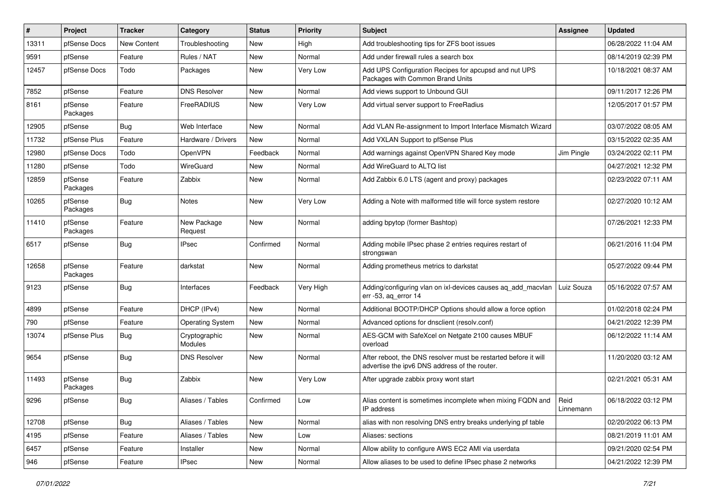| ∦     | Project             | <b>Tracker</b> | Category                 | <b>Status</b> | <b>Priority</b> | Subject                                                                                                          | <b>Assignee</b>   | <b>Updated</b>      |
|-------|---------------------|----------------|--------------------------|---------------|-----------------|------------------------------------------------------------------------------------------------------------------|-------------------|---------------------|
| 13311 | pfSense Docs        | New Content    | Troubleshooting          | New           | High            | Add troubleshooting tips for ZFS boot issues                                                                     |                   | 06/28/2022 11:04 AM |
| 9591  | pfSense             | Feature        | Rules / NAT              | <b>New</b>    | Normal          | Add under firewall rules a search box                                                                            |                   | 08/14/2019 02:39 PM |
| 12457 | pfSense Docs        | Todo           | Packages                 | New           | Very Low        | Add UPS Configuration Recipes for apcupsd and nut UPS<br>Packages with Common Brand Units                        |                   | 10/18/2021 08:37 AM |
| 7852  | pfSense             | Feature        | <b>DNS Resolver</b>      | New           | Normal          | Add views support to Unbound GUI                                                                                 |                   | 09/11/2017 12:26 PM |
| 8161  | pfSense<br>Packages | Feature        | FreeRADIUS               | New           | Very Low        | Add virtual server support to FreeRadius                                                                         |                   | 12/05/2017 01:57 PM |
| 12905 | pfSense             | Bug            | Web Interface            | New           | Normal          | Add VLAN Re-assignment to Import Interface Mismatch Wizard                                                       |                   | 03/07/2022 08:05 AM |
| 11732 | pfSense Plus        | Feature        | Hardware / Drivers       | New           | Normal          | Add VXLAN Support to pfSense Plus                                                                                |                   | 03/15/2022 02:35 AM |
| 12980 | pfSense Docs        | Todo           | OpenVPN                  | Feedback      | Normal          | Add warnings against OpenVPN Shared Key mode                                                                     | Jim Pingle        | 03/24/2022 02:11 PM |
| 11280 | pfSense             | Todo           | WireGuard                | New           | Normal          | Add WireGuard to ALTQ list                                                                                       |                   | 04/27/2021 12:32 PM |
| 12859 | pfSense<br>Packages | Feature        | Zabbix                   | New           | Normal          | Add Zabbix 6.0 LTS (agent and proxy) packages                                                                    |                   | 02/23/2022 07:11 AM |
| 10265 | pfSense<br>Packages | Bug            | <b>Notes</b>             | New           | Very Low        | Adding a Note with malformed title will force system restore                                                     |                   | 02/27/2020 10:12 AM |
| 11410 | pfSense<br>Packages | Feature        | New Package<br>Request   | New           | Normal          | adding bpytop (former Bashtop)                                                                                   |                   | 07/26/2021 12:33 PM |
| 6517  | pfSense             | Bug            | <b>IPsec</b>             | Confirmed     | Normal          | Adding mobile IPsec phase 2 entries requires restart of<br>strongswan                                            |                   | 06/21/2016 11:04 PM |
| 12658 | pfSense<br>Packages | Feature        | darkstat                 | New           | Normal          | Adding prometheus metrics to darkstat                                                                            |                   | 05/27/2022 09:44 PM |
| 9123  | pfSense             | Bug            | Interfaces               | Feedback      | Very High       | Adding/configuring vlan on ixl-devices causes ag add macvlan<br>err -53, aq_error 14                             | Luiz Souza        | 05/16/2022 07:57 AM |
| 4899  | pfSense             | Feature        | DHCP (IPv4)              | New           | Normal          | Additional BOOTP/DHCP Options should allow a force option                                                        |                   | 01/02/2018 02:24 PM |
| 790   | pfSense             | Feature        | <b>Operating System</b>  | New           | Normal          | Advanced options for dnsclient (resolv.conf)                                                                     |                   | 04/21/2022 12:39 PM |
| 13074 | pfSense Plus        | Bug            | Cryptographic<br>Modules | New           | Normal          | AES-GCM with SafeXcel on Netgate 2100 causes MBUF<br>overload                                                    |                   | 06/12/2022 11:14 AM |
| 9654  | pfSense             | Bug            | <b>DNS Resolver</b>      | New           | Normal          | After reboot, the DNS resolver must be restarted before it will<br>advertise the ipv6 DNS address of the router. |                   | 11/20/2020 03:12 AM |
| 11493 | pfSense<br>Packages | Bug            | Zabbix                   | <b>New</b>    | Very Low        | After upgrade zabbix proxy wont start                                                                            |                   | 02/21/2021 05:31 AM |
| 9296  | pfSense             | Bug            | Aliases / Tables         | Confirmed     | Low             | Alias content is sometimes incomplete when mixing FQDN and<br>IP address                                         | Reid<br>Linnemann | 06/18/2022 03:12 PM |
| 12708 | pfSense             | Bug            | Aliases / Tables         | New           | Normal          | alias with non resolving DNS entry breaks underlying pf table                                                    |                   | 02/20/2022 06:13 PM |
| 4195  | pfSense             | Feature        | Aliases / Tables         | New           | Low             | Aliases: sections                                                                                                |                   | 08/21/2019 11:01 AM |
| 6457  | pfSense             | Feature        | Installer                | New           | Normal          | Allow ability to configure AWS EC2 AMI via userdata                                                              |                   | 09/21/2020 02:54 PM |
| 946   | pfSense             | Feature        | <b>IPsec</b>             | New           | Normal          | Allow aliases to be used to define IPsec phase 2 networks                                                        |                   | 04/21/2022 12:39 PM |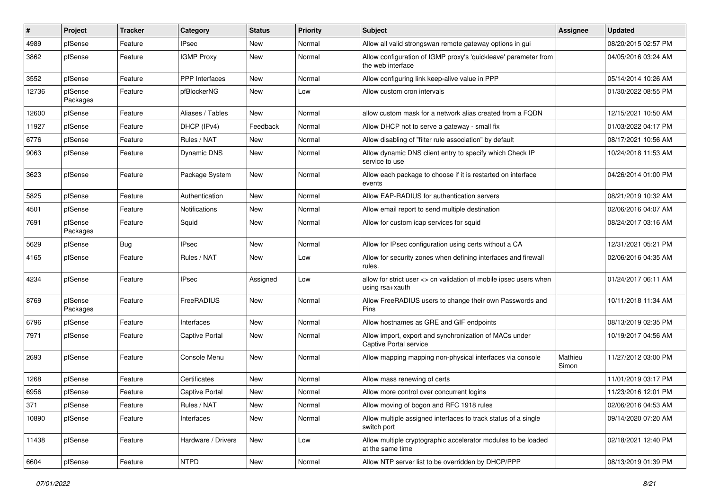| #     | Project             | <b>Tracker</b> | Category              | <b>Status</b> | <b>Priority</b> | <b>Subject</b>                                                                          | <b>Assignee</b>  | <b>Updated</b>      |
|-------|---------------------|----------------|-----------------------|---------------|-----------------|-----------------------------------------------------------------------------------------|------------------|---------------------|
| 4989  | pfSense             | Feature        | <b>IPsec</b>          | New           | Normal          | Allow all valid strongswan remote gateway options in gui                                |                  | 08/20/2015 02:57 PM |
| 3862  | pfSense             | Feature        | <b>IGMP Proxy</b>     | New           | Normal          | Allow configuration of IGMP proxy's 'quickleave' parameter from<br>the web interface    |                  | 04/05/2016 03:24 AM |
| 3552  | pfSense             | Feature        | <b>PPP</b> Interfaces | <b>New</b>    | Normal          | Allow configuring link keep-alive value in PPP                                          |                  | 05/14/2014 10:26 AM |
| 12736 | pfSense<br>Packages | Feature        | pfBlockerNG           | <b>New</b>    | Low             | Allow custom cron intervals                                                             |                  | 01/30/2022 08:55 PM |
| 12600 | pfSense             | Feature        | Aliases / Tables      | New           | Normal          | allow custom mask for a network alias created from a FQDN                               |                  | 12/15/2021 10:50 AM |
| 11927 | pfSense             | Feature        | DHCP (IPv4)           | Feedback      | Normal          | Allow DHCP not to serve a gateway - small fix                                           |                  | 01/03/2022 04:17 PM |
| 6776  | pfSense             | Feature        | Rules / NAT           | New           | Normal          | Allow disabling of "filter rule association" by default                                 |                  | 08/17/2021 10:56 AM |
| 9063  | pfSense             | Feature        | <b>Dynamic DNS</b>    | New           | Normal          | Allow dynamic DNS client entry to specify which Check IP<br>service to use              |                  | 10/24/2018 11:53 AM |
| 3623  | pfSense             | Feature        | Package System        | <b>New</b>    | Normal          | Allow each package to choose if it is restarted on interface<br>events                  |                  | 04/26/2014 01:00 PM |
| 5825  | pfSense             | Feature        | Authentication        | New           | Normal          | Allow EAP-RADIUS for authentication servers                                             |                  | 08/21/2019 10:32 AM |
| 4501  | pfSense             | Feature        | Notifications         | New           | Normal          | Allow email report to send multiple destination                                         |                  | 02/06/2016 04:07 AM |
| 7691  | pfSense<br>Packages | Feature        | Squid                 | New           | Normal          | Allow for custom icap services for squid                                                |                  | 08/24/2017 03:16 AM |
| 5629  | pfSense             | Bug            | <b>IPsec</b>          | New           | Normal          | Allow for IPsec configuration using certs without a CA                                  |                  | 12/31/2021 05:21 PM |
| 4165  | pfSense             | Feature        | Rules / NAT           | New           | Low             | Allow for security zones when defining interfaces and firewall<br>rules.                |                  | 02/06/2016 04:35 AM |
| 4234  | pfSense             | Feature        | <b>IPsec</b>          | Assigned      | Low             | allow for strict user <> cn validation of mobile ipsec users when<br>using rsa+xauth    |                  | 01/24/2017 06:11 AM |
| 8769  | pfSense<br>Packages | Feature        | FreeRADIUS            | <b>New</b>    | Normal          | Allow FreeRADIUS users to change their own Passwords and<br>Pins                        |                  | 10/11/2018 11:34 AM |
| 6796  | pfSense             | Feature        | Interfaces            | New           | Normal          | Allow hostnames as GRE and GIF endpoints                                                |                  | 08/13/2019 02:35 PM |
| 7971  | pfSense             | Feature        | <b>Captive Portal</b> | New           | Normal          | Allow import, export and synchronization of MACs under<br><b>Captive Portal service</b> |                  | 10/19/2017 04:56 AM |
| 2693  | pfSense             | Feature        | Console Menu          | <b>New</b>    | Normal          | Allow mapping mapping non-physical interfaces via console                               | Mathieu<br>Simon | 11/27/2012 03:00 PM |
| 1268  | pfSense             | Feature        | Certificates          | New           | Normal          | Allow mass renewing of certs                                                            |                  | 11/01/2019 03:17 PM |
| 6956  | pfSense             | Feature        | <b>Captive Portal</b> | <b>New</b>    | Normal          | Allow more control over concurrent logins                                               |                  | 11/23/2016 12:01 PM |
| 371   | pfSense             | Feature        | Rules / NAT           | New           | Normal          | Allow moving of bogon and RFC 1918 rules                                                |                  | 02/06/2016 04:53 AM |
| 10890 | pfSense             | Feature        | Interfaces            | New           | Normal          | Allow multiple assigned interfaces to track status of a single<br>switch port           |                  | 09/14/2020 07:20 AM |
| 11438 | pfSense             | Feature        | Hardware / Drivers    | New           | Low             | Allow multiple cryptographic accelerator modules to be loaded<br>at the same time       |                  | 02/18/2021 12:40 PM |
| 6604  | pfSense             | Feature        | <b>NTPD</b>           | New           | Normal          | Allow NTP server list to be overridden by DHCP/PPP                                      |                  | 08/13/2019 01:39 PM |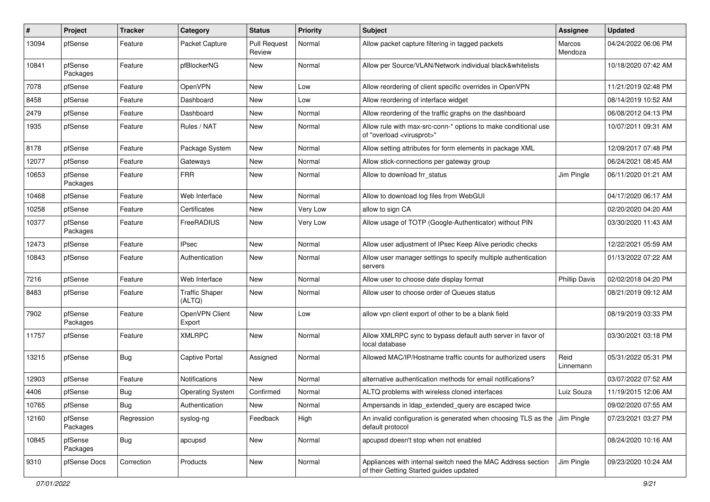| ∦     | Project             | <b>Tracker</b> | Category                        | <b>Status</b>                 | <b>Priority</b> | Subject                                                                                                 | <b>Assignee</b>      | <b>Updated</b>      |
|-------|---------------------|----------------|---------------------------------|-------------------------------|-----------------|---------------------------------------------------------------------------------------------------------|----------------------|---------------------|
| 13094 | pfSense             | Feature        | Packet Capture                  | <b>Pull Request</b><br>Review | Normal          | Allow packet capture filtering in tagged packets                                                        | Marcos<br>Mendoza    | 04/24/2022 06:06 PM |
| 10841 | pfSense<br>Packages | Feature        | pfBlockerNG                     | New                           | Normal          | Allow per Source/VLAN/Network individual black&whitelists                                               |                      | 10/18/2020 07:42 AM |
| 7078  | pfSense             | Feature        | OpenVPN                         | <b>New</b>                    | Low             | Allow reordering of client specific overrides in OpenVPN                                                |                      | 11/21/2019 02:48 PM |
| 8458  | pfSense             | Feature        | Dashboard                       | New                           | Low             | Allow reordering of interface widget                                                                    |                      | 08/14/2019 10:52 AM |
| 2479  | pfSense             | Feature        | Dashboard                       | New                           | Normal          | Allow reordering of the traffic graphs on the dashboard                                                 |                      | 06/08/2012 04:13 PM |
| 1935  | pfSense             | Feature        | Rules / NAT                     | New                           | Normal          | Allow rule with max-src-conn-* options to make conditional use<br>of "overload <virusprot>"</virusprot> |                      | 10/07/2011 09:31 AM |
| 8178  | pfSense             | Feature        | Package System                  | <b>New</b>                    | Normal          | Allow setting attributes for form elements in package XML                                               |                      | 12/09/2017 07:48 PM |
| 12077 | pfSense             | Feature        | Gateways                        | New                           | Normal          | Allow stick-connections per gateway group                                                               |                      | 06/24/2021 08:45 AM |
| 10653 | pfSense<br>Packages | Feature        | <b>FRR</b>                      | New                           | Normal          | Allow to download frr status                                                                            | Jim Pingle           | 06/11/2020 01:21 AM |
| 10468 | pfSense             | Feature        | Web Interface                   | New                           | Normal          | Allow to download log files from WebGUI                                                                 |                      | 04/17/2020 06:17 AM |
| 10258 | pfSense             | Feature        | Certificates                    | New                           | Very Low        | allow to sign CA                                                                                        |                      | 02/20/2020 04:20 AM |
| 10377 | pfSense<br>Packages | Feature        | FreeRADIUS                      | New                           | Very Low        | Allow usage of TOTP (Google-Authenticator) without PIN                                                  |                      | 03/30/2020 11:43 AM |
| 12473 | pfSense             | Feature        | <b>IPsec</b>                    | <b>New</b>                    | Normal          | Allow user adjustment of IPsec Keep Alive periodic checks                                               |                      | 12/22/2021 05:59 AM |
| 10843 | pfSense             | Feature        | Authentication                  | New                           | Normal          | Allow user manager settings to specify multiple authentication<br>servers                               |                      | 01/13/2022 07:22 AM |
| 7216  | pfSense             | Feature        | Web Interface                   | <b>New</b>                    | Normal          | Allow user to choose date display format                                                                | <b>Phillip Davis</b> | 02/02/2018 04:20 PM |
| 8483  | pfSense             | Feature        | <b>Traffic Shaper</b><br>(ALTQ) | New                           | Normal          | Allow user to choose order of Queues status                                                             |                      | 08/21/2019 09:12 AM |
| 7902  | pfSense<br>Packages | Feature        | OpenVPN Client<br>Export        | New                           | Low             | allow vpn client export of other to be a blank field                                                    |                      | 08/19/2019 03:33 PM |
| 11757 | pfSense             | Feature        | <b>XMLRPC</b>                   | <b>New</b>                    | Normal          | Allow XMLRPC sync to bypass default auth server in favor of<br>local database                           |                      | 03/30/2021 03:18 PM |
| 13215 | pfSense             | Bug            | <b>Captive Portal</b>           | Assigned                      | Normal          | Allowed MAC/IP/Hostname traffic counts for authorized users                                             | Reid<br>Linnemann    | 05/31/2022 05:31 PM |
| 12903 | pfSense             | Feature        | Notifications                   | New                           | Normal          | alternative authentication methods for email notifications?                                             |                      | 03/07/2022 07:52 AM |
| 4406  | pfSense             | Bug            | <b>Operating System</b>         | Confirmed                     | Normal          | ALTQ problems with wireless cloned interfaces                                                           | Luiz Souza           | 11/19/2015 12:06 AM |
| 10765 | pfSense             | Bug            | Authentication                  | New                           | Normal          | Ampersands in Idap_extended_query are escaped twice                                                     |                      | 09/02/2020 07:55 AM |
| 12160 | pfSense<br>Packages | Regression     | syslog-ng                       | Feedback                      | High            | An invalid configuration is generated when choosing TLS as the<br>default protocol                      | Jim Pingle           | 07/23/2021 03:27 PM |
| 10845 | pfSense<br>Packages | <b>Bug</b>     | apcupsd                         | New                           | Normal          | apcupsd doesn't stop when not enabled                                                                   |                      | 08/24/2020 10:16 AM |
| 9310  | pfSense Docs        | Correction     | Products                        | New                           | Normal          | Appliances with internal switch need the MAC Address section<br>of their Getting Started guides updated | Jim Pingle           | 09/23/2020 10:24 AM |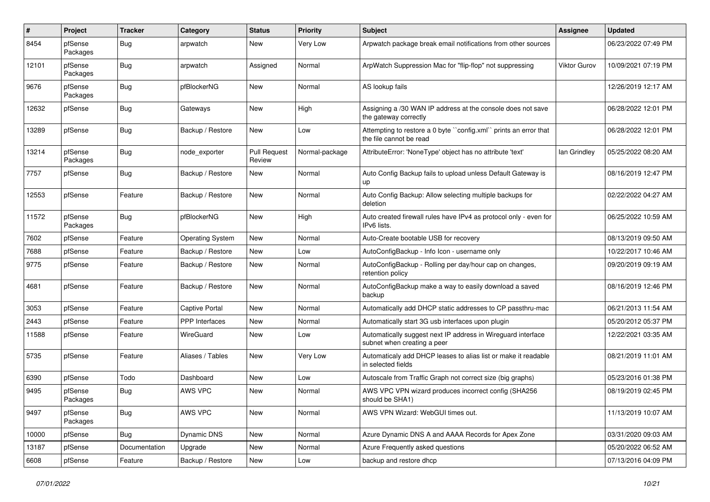| #     | Project             | <b>Tracker</b> | Category                | <b>Status</b>                 | <b>Priority</b> | <b>Subject</b>                                                                              | <b>Assignee</b> | <b>Updated</b>      |
|-------|---------------------|----------------|-------------------------|-------------------------------|-----------------|---------------------------------------------------------------------------------------------|-----------------|---------------------|
| 8454  | pfSense<br>Packages | Bug            | arpwatch                | New                           | Very Low        | Arpwatch package break email notifications from other sources                               |                 | 06/23/2022 07:49 PM |
| 12101 | pfSense<br>Packages | Bug            | arpwatch                | Assigned                      | Normal          | ArpWatch Suppression Mac for "flip-flop" not suppressing                                    | Viktor Gurov    | 10/09/2021 07:19 PM |
| 9676  | pfSense<br>Packages | Bug            | pfBlockerNG             | New                           | Normal          | AS lookup fails                                                                             |                 | 12/26/2019 12:17 AM |
| 12632 | pfSense             | Bug            | Gateways                | <b>New</b>                    | High            | Assigning a /30 WAN IP address at the console does not save<br>the gateway correctly        |                 | 06/28/2022 12:01 PM |
| 13289 | pfSense             | Bug            | Backup / Restore        | New                           | Low             | Attempting to restore a 0 byte "config.xml" prints an error that<br>the file cannot be read |                 | 06/28/2022 12:01 PM |
| 13214 | pfSense<br>Packages | Bug            | node exporter           | <b>Pull Request</b><br>Review | Normal-package  | AttributeError: 'NoneType' object has no attribute 'text'                                   | lan Grindley    | 05/25/2022 08:20 AM |
| 7757  | pfSense             | Bug            | Backup / Restore        | <b>New</b>                    | Normal          | Auto Config Backup fails to upload unless Default Gateway is<br>up                          |                 | 08/16/2019 12:47 PM |
| 12553 | pfSense             | Feature        | Backup / Restore        | New                           | Normal          | Auto Config Backup: Allow selecting multiple backups for<br>deletion                        |                 | 02/22/2022 04:27 AM |
| 11572 | pfSense<br>Packages | Bug            | pfBlockerNG             | New                           | High            | Auto created firewall rules have IPv4 as protocol only - even for<br>IPv6 lists.            |                 | 06/25/2022 10:59 AM |
| 7602  | pfSense             | Feature        | <b>Operating System</b> | <b>New</b>                    | Normal          | Auto-Create bootable USB for recovery                                                       |                 | 08/13/2019 09:50 AM |
| 7688  | pfSense             | Feature        | Backup / Restore        | New                           | Low             | AutoConfigBackup - Info Icon - username only                                                |                 | 10/22/2017 10:46 AM |
| 9775  | pfSense             | Feature        | Backup / Restore        | New                           | Normal          | AutoConfigBackup - Rolling per day/hour cap on changes,<br>retention policy                 |                 | 09/20/2019 09:19 AM |
| 4681  | pfSense             | Feature        | Backup / Restore        | New                           | Normal          | AutoConfigBackup make a way to easily download a saved<br>backup                            |                 | 08/16/2019 12:46 PM |
| 3053  | pfSense             | Feature        | <b>Captive Portal</b>   | New                           | Normal          | Automatically add DHCP static addresses to CP passthru-mac                                  |                 | 06/21/2013 11:54 AM |
| 2443  | pfSense             | Feature        | <b>PPP</b> Interfaces   | New                           | Normal          | Automatically start 3G usb interfaces upon plugin                                           |                 | 05/20/2012 05:37 PM |
| 11588 | pfSense             | Feature        | WireGuard               | <b>New</b>                    | Low             | Automatically suggest next IP address in Wireguard interface<br>subnet when creating a peer |                 | 12/22/2021 03:35 AM |
| 5735  | pfSense             | Feature        | Aliases / Tables        | New                           | Very Low        | Automaticaly add DHCP leases to alias list or make it readable<br>in selected fields        |                 | 08/21/2019 11:01 AM |
| 6390  | pfSense             | Todo           | Dashboard               | New                           | Low             | Autoscale from Traffic Graph not correct size (big graphs)                                  |                 | 05/23/2016 01:38 PM |
| 9495  | pfSense<br>Packages | <b>Bug</b>     | AWS VPC                 | <b>New</b>                    | Normal          | AWS VPC VPN wizard produces incorrect config (SHA256<br>should be SHA1)                     |                 | 08/19/2019 02:45 PM |
| 9497  | pfSense<br>Packages | <b>Bug</b>     | AWS VPC                 | New                           | Normal          | AWS VPN Wizard: WebGUI times out.                                                           |                 | 11/13/2019 10:07 AM |
| 10000 | pfSense             | Bug            | Dynamic DNS             | New                           | Normal          | Azure Dynamic DNS A and AAAA Records for Apex Zone                                          |                 | 03/31/2020 09:03 AM |
| 13187 | pfSense             | Documentation  | Upgrade                 | New                           | Normal          | Azure Frequently asked questions                                                            |                 | 05/20/2022 06:52 AM |
| 6608  | pfSense             | Feature        | Backup / Restore        | New                           | Low             | backup and restore dhcp                                                                     |                 | 07/13/2016 04:09 PM |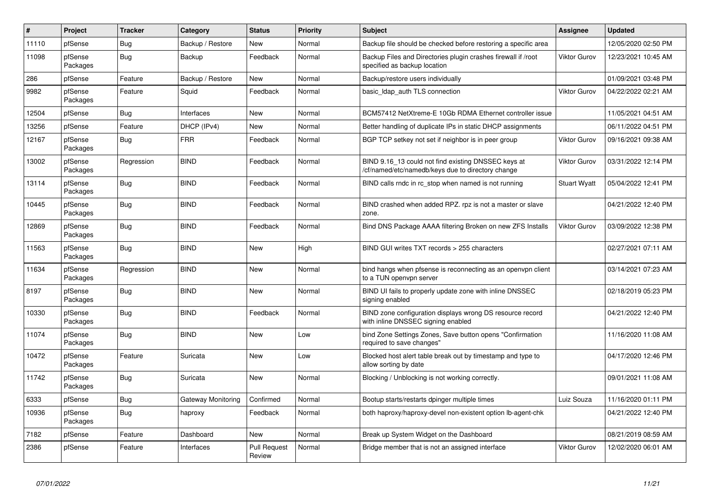| $\sharp$ | Project             | <b>Tracker</b> | Category           | <b>Status</b>                 | <b>Priority</b> | <b>Subject</b>                                                                                           | <b>Assignee</b>     | <b>Updated</b>      |
|----------|---------------------|----------------|--------------------|-------------------------------|-----------------|----------------------------------------------------------------------------------------------------------|---------------------|---------------------|
| 11110    | pfSense             | Bug            | Backup / Restore   | <b>New</b>                    | Normal          | Backup file should be checked before restoring a specific area                                           |                     | 12/05/2020 02:50 PM |
| 11098    | pfSense<br>Packages | Bug            | Backup             | Feedback                      | Normal          | Backup Files and Directories plugin crashes firewall if /root<br>specified as backup location            | Viktor Gurov        | 12/23/2021 10:45 AM |
| 286      | pfSense             | Feature        | Backup / Restore   | New                           | Normal          | Backup/restore users individually                                                                        |                     | 01/09/2021 03:48 PM |
| 9982     | pfSense<br>Packages | Feature        | Squid              | Feedback                      | Normal          | basic Idap auth TLS connection                                                                           | Viktor Gurov        | 04/22/2022 02:21 AM |
| 12504    | pfSense             | Bug            | Interfaces         | New                           | Normal          | BCM57412 NetXtreme-E 10Gb RDMA Ethernet controller issue                                                 |                     | 11/05/2021 04:51 AM |
| 13256    | pfSense             | Feature        | DHCP (IPv4)        | New                           | Normal          | Better handling of duplicate IPs in static DHCP assignments                                              |                     | 06/11/2022 04:51 PM |
| 12167    | pfSense<br>Packages | Bug            | <b>FRR</b>         | Feedback                      | Normal          | BGP TCP setkey not set if neighbor is in peer group                                                      | Viktor Gurov        | 09/16/2021 09:38 AM |
| 13002    | pfSense<br>Packages | Regression     | <b>BIND</b>        | Feedback                      | Normal          | BIND 9.16_13 could not find existing DNSSEC keys at<br>/cf/named/etc/namedb/keys due to directory change | Viktor Gurov        | 03/31/2022 12:14 PM |
| 13114    | pfSense<br>Packages | Bug            | <b>BIND</b>        | Feedback                      | Normal          | BIND calls rndc in rc stop when named is not running                                                     | <b>Stuart Wyatt</b> | 05/04/2022 12:41 PM |
| 10445    | pfSense<br>Packages | Bug            | <b>BIND</b>        | Feedback                      | Normal          | BIND crashed when added RPZ. rpz is not a master or slave<br>zone.                                       |                     | 04/21/2022 12:40 PM |
| 12869    | pfSense<br>Packages | Bug            | <b>BIND</b>        | Feedback                      | Normal          | Bind DNS Package AAAA filtering Broken on new ZFS Installs                                               | Viktor Gurov        | 03/09/2022 12:38 PM |
| 11563    | pfSense<br>Packages | Bug            | <b>BIND</b>        | <b>New</b>                    | High            | BIND GUI writes TXT records > 255 characters                                                             |                     | 02/27/2021 07:11 AM |
| 11634    | pfSense<br>Packages | Regression     | <b>BIND</b>        | <b>New</b>                    | Normal          | bind hangs when pfsense is reconnecting as an openvpn client<br>to a TUN openvpn server                  |                     | 03/14/2021 07:23 AM |
| 8197     | pfSense<br>Packages | Bug            | <b>BIND</b>        | New                           | Normal          | BIND UI fails to properly update zone with inline DNSSEC<br>signing enabled                              |                     | 02/18/2019 05:23 PM |
| 10330    | pfSense<br>Packages | Bug            | <b>BIND</b>        | Feedback                      | Normal          | BIND zone configuration displays wrong DS resource record<br>with inline DNSSEC signing enabled          |                     | 04/21/2022 12:40 PM |
| 11074    | pfSense<br>Packages | Bug            | <b>BIND</b>        | <b>New</b>                    | Low             | bind Zone Settings Zones, Save button opens "Confirmation<br>required to save changes"                   |                     | 11/16/2020 11:08 AM |
| 10472    | pfSense<br>Packages | Feature        | Suricata           | New                           | Low             | Blocked host alert table break out by timestamp and type to<br>allow sorting by date                     |                     | 04/17/2020 12:46 PM |
| 11742    | pfSense<br>Packages | Bug            | Suricata           | New                           | Normal          | Blocking / Unblocking is not working correctly.                                                          |                     | 09/01/2021 11:08 AM |
| 6333     | pfSense             | Bug            | Gateway Monitoring | Confirmed                     | Normal          | Bootup starts/restarts dpinger multiple times                                                            | Luiz Souza          | 11/16/2020 01:11 PM |
| 10936    | pfSense<br>Packages | Bug            | haproxy            | Feedback                      | Normal          | both haproxy/haproxy-devel non-existent option lb-agent-chk                                              |                     | 04/21/2022 12:40 PM |
| 7182     | pfSense             | Feature        | Dashboard          | <b>New</b>                    | Normal          | Break up System Widget on the Dashboard                                                                  |                     | 08/21/2019 08:59 AM |
| 2386     | pfSense             | Feature        | Interfaces         | <b>Pull Request</b><br>Review | Normal          | Bridge member that is not an assigned interface                                                          | Viktor Gurov        | 12/02/2020 06:01 AM |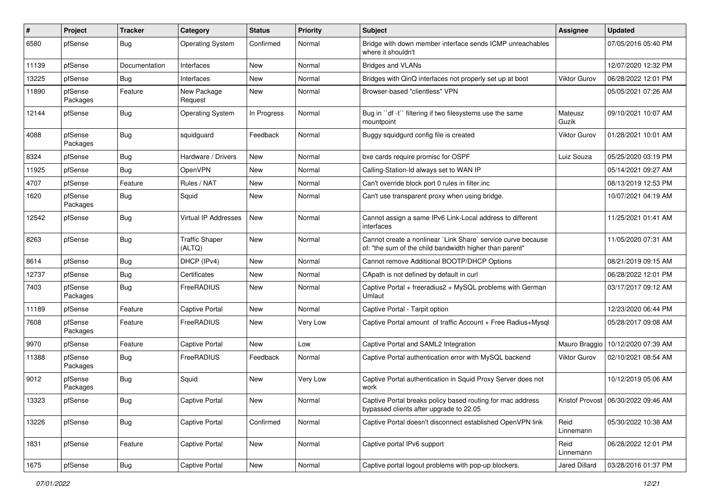| ∦     | Project             | <b>Tracker</b> | Category                        | <b>Status</b> | <b>Priority</b> | Subject                                                                                                                 | <b>Assignee</b>     | <b>Updated</b>                        |
|-------|---------------------|----------------|---------------------------------|---------------|-----------------|-------------------------------------------------------------------------------------------------------------------------|---------------------|---------------------------------------|
| 6580  | pfSense             | Bug            | <b>Operating System</b>         | Confirmed     | Normal          | Bridge with down member interface sends ICMP unreachables<br>where it shouldn't                                         |                     | 07/05/2016 05:40 PM                   |
| 11139 | pfSense             | Documentation  | Interfaces                      | <b>New</b>    | Normal          | <b>Bridges and VLANs</b>                                                                                                |                     | 12/07/2020 12:32 PM                   |
| 13225 | pfSense             | Bug            | Interfaces                      | New           | Normal          | Bridges with QinQ interfaces not properly set up at boot                                                                | <b>Viktor Gurov</b> | 06/28/2022 12:01 PM                   |
| 11890 | pfSense<br>Packages | Feature        | New Package<br>Request          | New           | Normal          | Browser-based "clientless" VPN                                                                                          |                     | 05/05/2021 07:26 AM                   |
| 12144 | pfSense             | Bug            | <b>Operating System</b>         | In Progress   | Normal          | Bug in "df -t" filtering if two filesystems use the same<br>mountpoint                                                  | Mateusz<br>Guzik    | 09/10/2021 10:07 AM                   |
| 4088  | pfSense<br>Packages | Bug            | squidguard                      | Feedback      | Normal          | Buggy squidgurd config file is created                                                                                  | Viktor Gurov        | 01/28/2021 10:01 AM                   |
| 8324  | pfSense             | Bug            | Hardware / Drivers              | New           | Normal          | bxe cards require promisc for OSPF                                                                                      | Luiz Souza          | 05/25/2020 03:19 PM                   |
| 11925 | pfSense             | Bug            | OpenVPN                         | New           | Normal          | Calling-Station-Id always set to WAN IP                                                                                 |                     | 05/14/2021 09:27 AM                   |
| 4707  | pfSense             | Feature        | Rules / NAT                     | <b>New</b>    | Normal          | Can't override block port 0 rules in filter.inc                                                                         |                     | 08/13/2019 12:53 PM                   |
| 1620  | pfSense<br>Packages | Bug            | Squid                           | <b>New</b>    | Normal          | Can't use transparent proxy when using bridge.                                                                          |                     | 10/07/2021 04:19 AM                   |
| 12542 | pfSense             | Bug            | Virtual IP Addresses            | New           | Normal          | Cannot assign a same IPv6 Link-Local address to different<br>interfaces                                                 |                     | 11/25/2021 01:41 AM                   |
| 8263  | pfSense             | Bug            | <b>Traffic Shaper</b><br>(ALTQ) | <b>New</b>    | Normal          | Cannot create a nonlinear `Link Share` service curve because<br>of: "the sum of the child bandwidth higher than parent" |                     | 11/05/2020 07:31 AM                   |
| 8614  | pfSense             | Bug            | DHCP (IPv4)                     | New           | Normal          | Cannot remove Additional BOOTP/DHCP Options                                                                             |                     | 08/21/2019 09:15 AM                   |
| 12737 | pfSense             | Bug            | Certificates                    | <b>New</b>    | Normal          | CApath is not defined by default in curl                                                                                |                     | 06/28/2022 12:01 PM                   |
| 7403  | pfSense<br>Packages | Bug            | FreeRADIUS                      | New           | Normal          | Captive Portal + freeradius2 + MySQL problems with German<br>Umlaut                                                     |                     | 03/17/2017 09:12 AM                   |
| 11189 | pfSense             | Feature        | <b>Captive Portal</b>           | New           | Normal          | Captive Portal - Tarpit option                                                                                          |                     | 12/23/2020 06:44 PM                   |
| 7608  | pfSense<br>Packages | Feature        | FreeRADIUS                      | New           | Very Low        | Captive Portal amount of traffic Account + Free Radius+Mysql                                                            |                     | 05/28/2017 09:08 AM                   |
| 9970  | pfSense             | Feature        | <b>Captive Portal</b>           | <b>New</b>    | Low             | Captive Portal and SAML2 Integration                                                                                    | Mauro Braggio       | 10/12/2020 07:39 AM                   |
| 11388 | pfSense<br>Packages | Bug            | FreeRADIUS                      | Feedback      | Normal          | Captive Portal authentication error with MySQL backend                                                                  | Viktor Gurov        | 02/10/2021 08:54 AM                   |
| 9012  | pfSense<br>Packages | Bug            | Squid                           | New           | Very Low        | Captive Portal authentication in Squid Proxy Server does not<br>work                                                    |                     | 10/12/2019 05:06 AM                   |
| 13323 | pfSense             | Bug            | Captive Portal                  | New           | Normal          | Captive Portal breaks policy based routing for mac address<br>bypassed clients after upgrade to 22.05                   |                     | Kristof Provost   06/30/2022 09:46 AM |
| 13226 | pfSense             | Bug            | <b>Captive Portal</b>           | Confirmed     | Normal          | Captive Portal doesn't disconnect established OpenVPN link                                                              | Reid<br>Linnemann   | 05/30/2022 10:38 AM                   |
| 1831  | pfSense             | Feature        | Captive Portal                  | New           | Normal          | Captive portal IPv6 support                                                                                             | Reid<br>Linnemann   | 06/28/2022 12:01 PM                   |
| 1675  | pfSense             | <b>Bug</b>     | <b>Captive Portal</b>           | New           | Normal          | Captive portal logout problems with pop-up blockers.                                                                    | Jared Dillard       | 03/28/2016 01:37 PM                   |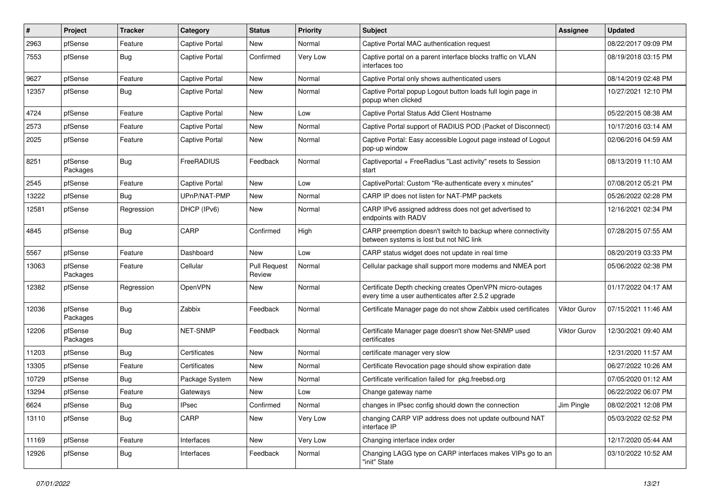| #     | Project             | <b>Tracker</b> | Category              | <b>Status</b>                 | <b>Priority</b> | Subject                                                                                                         | <b>Assignee</b> | <b>Updated</b>      |
|-------|---------------------|----------------|-----------------------|-------------------------------|-----------------|-----------------------------------------------------------------------------------------------------------------|-----------------|---------------------|
| 2963  | pfSense             | Feature        | Captive Portal        | New                           | Normal          | Captive Portal MAC authentication request                                                                       |                 | 08/22/2017 09:09 PM |
| 7553  | pfSense             | Bug            | <b>Captive Portal</b> | Confirmed                     | Very Low        | Captive portal on a parent interface blocks traffic on VLAN<br>interfaces too                                   |                 | 08/19/2018 03:15 PM |
| 9627  | pfSense             | Feature        | <b>Captive Portal</b> | <b>New</b>                    | Normal          | Captive Portal only shows authenticated users                                                                   |                 | 08/14/2019 02:48 PM |
| 12357 | pfSense             | Bug            | <b>Captive Portal</b> | New                           | Normal          | Captive Portal popup Logout button loads full login page in<br>popup when clicked                               |                 | 10/27/2021 12:10 PM |
| 4724  | pfSense             | Feature        | <b>Captive Portal</b> | New                           | Low             | Captive Portal Status Add Client Hostname                                                                       |                 | 05/22/2015 08:38 AM |
| 2573  | pfSense             | Feature        | <b>Captive Portal</b> | New                           | Normal          | Captive Portal support of RADIUS POD (Packet of Disconnect)                                                     |                 | 10/17/2016 03:14 AM |
| 2025  | pfSense             | Feature        | <b>Captive Portal</b> | New                           | Normal          | Captive Portal: Easy accessible Logout page instead of Logout<br>pop-up window                                  |                 | 02/06/2016 04:59 AM |
| 8251  | pfSense<br>Packages | Bug            | FreeRADIUS            | Feedback                      | Normal          | Captiveportal + FreeRadius "Last activity" resets to Session<br>start                                           |                 | 08/13/2019 11:10 AM |
| 2545  | pfSense             | Feature        | <b>Captive Portal</b> | <b>New</b>                    | Low             | CaptivePortal: Custom "Re-authenticate every x minutes"                                                         |                 | 07/08/2012 05:21 PM |
| 13222 | pfSense             | Bug            | UPnP/NAT-PMP          | New                           | Normal          | CARP IP does not listen for NAT-PMP packets                                                                     |                 | 05/26/2022 02:28 PM |
| 12581 | pfSense             | Regression     | DHCP (IPv6)           | New                           | Normal          | CARP IPv6 assigned address does not get advertised to<br>endpoints with RADV                                    |                 | 12/16/2021 02:34 PM |
| 4845  | pfSense             | Bug            | CARP                  | Confirmed                     | High            | CARP preemption doesn't switch to backup where connectivity<br>between systems is lost but not NIC link         |                 | 07/28/2015 07:55 AM |
| 5567  | pfSense             | Feature        | Dashboard             | <b>New</b>                    | Low             | CARP status widget does not update in real time                                                                 |                 | 08/20/2019 03:33 PM |
| 13063 | pfSense<br>Packages | Feature        | Cellular              | <b>Pull Request</b><br>Review | Normal          | Cellular package shall support more modems and NMEA port                                                        |                 | 05/06/2022 02:38 PM |
| 12382 | pfSense             | Regression     | OpenVPN               | New                           | Normal          | Certificate Depth checking creates OpenVPN micro-outages<br>every time a user authenticates after 2.5.2 upgrade |                 | 01/17/2022 04:17 AM |
| 12036 | pfSense<br>Packages | Bug            | Zabbix                | Feedback                      | Normal          | Certificate Manager page do not show Zabbix used certificates                                                   | Viktor Gurov    | 07/15/2021 11:46 AM |
| 12206 | pfSense<br>Packages | Bug            | NET-SNMP              | Feedback                      | Normal          | Certificate Manager page doesn't show Net-SNMP used<br>certificates                                             | Viktor Gurov    | 12/30/2021 09:40 AM |
| 11203 | pfSense             | Bug            | Certificates          | New                           | Normal          | certificate manager very slow                                                                                   |                 | 12/31/2020 11:57 AM |
| 13305 | pfSense             | Feature        | Certificates          | <b>New</b>                    | Normal          | Certificate Revocation page should show expiration date                                                         |                 | 06/27/2022 10:26 AM |
| 10729 | pfSense             | Bug            | Package System        | <b>New</b>                    | Normal          | Certificate verification failed for pkg.freebsd.org                                                             |                 | 07/05/2020 01:12 AM |
| 13294 | pfSense             | Feature        | Gateways              | New                           | Low             | Change gateway name                                                                                             |                 | 06/22/2022 06:07 PM |
| 6624  | pfSense             | <b>Bug</b>     | <b>IPsec</b>          | Confirmed                     | Normal          | changes in IPsec config should down the connection                                                              | Jim Pingle      | 08/02/2021 12:08 PM |
| 13110 | pfSense             | <b>Bug</b>     | CARP                  | New                           | Very Low        | changing CARP VIP address does not update outbound NAT<br>interface IP                                          |                 | 05/03/2022 02:52 PM |
| 11169 | pfSense             | Feature        | Interfaces            | New                           | Very Low        | Changing interface index order                                                                                  |                 | 12/17/2020 05:44 AM |
| 12926 | pfSense             | <b>Bug</b>     | Interfaces            | Feedback                      | Normal          | Changing LAGG type on CARP interfaces makes VIPs go to an<br>"init" State                                       |                 | 03/10/2022 10:52 AM |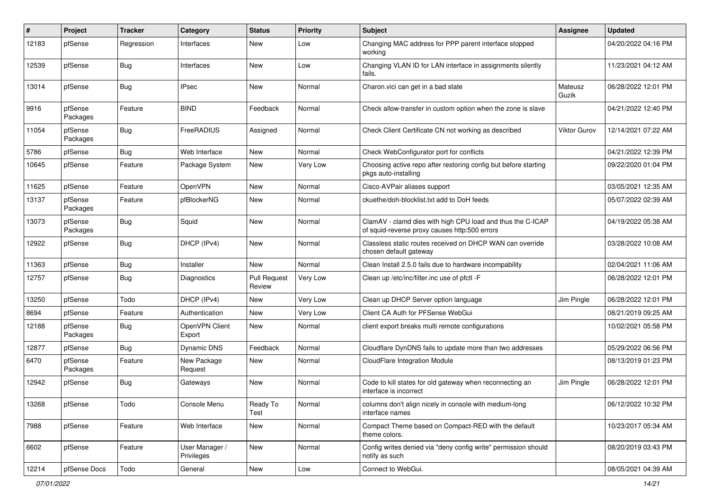| #     | Project             | <b>Tracker</b> | Category                     | <b>Status</b>                 | <b>Priority</b> | Subject                                                                                                     | <b>Assignee</b>     | <b>Updated</b>      |
|-------|---------------------|----------------|------------------------------|-------------------------------|-----------------|-------------------------------------------------------------------------------------------------------------|---------------------|---------------------|
| 12183 | pfSense             | Regression     | Interfaces                   | New                           | Low             | Changing MAC address for PPP parent interface stopped<br>working                                            |                     | 04/20/2022 04:16 PM |
| 12539 | pfSense             | Bug            | Interfaces                   | New                           | Low             | Changing VLAN ID for LAN interface in assignments silently<br>fails.                                        |                     | 11/23/2021 04:12 AM |
| 13014 | pfSense             | Bug            | <b>IPsec</b>                 | New                           | Normal          | Charon.vici can get in a bad state                                                                          | Mateusz<br>Guzik    | 06/28/2022 12:01 PM |
| 9916  | pfSense<br>Packages | Feature        | <b>BIND</b>                  | Feedback                      | Normal          | Check allow-transfer in custom option when the zone is slave                                                |                     | 04/21/2022 12:40 PM |
| 11054 | pfSense<br>Packages | Bug            | FreeRADIUS                   | Assigned                      | Normal          | Check Client Certificate CN not working as described                                                        | <b>Viktor Gurov</b> | 12/14/2021 07:22 AM |
| 5786  | pfSense             | Bug            | Web Interface                | New                           | Normal          | Check WebConfigurator port for conflicts                                                                    |                     | 04/21/2022 12:39 PM |
| 10645 | pfSense             | Feature        | Package System               | New                           | Very Low        | Choosing active repo after restoring config but before starting<br>pkgs auto-installing                     |                     | 09/22/2020 01:04 PM |
| 11625 | pfSense             | Feature        | OpenVPN                      | New                           | Normal          | Cisco-AVPair aliases support                                                                                |                     | 03/05/2021 12:35 AM |
| 13137 | pfSense<br>Packages | Feature        | pfBlockerNG                  | New                           | Normal          | ckuethe/doh-blocklist.txt add to DoH feeds                                                                  |                     | 05/07/2022 02:39 AM |
| 13073 | pfSense<br>Packages | Bug            | Squid                        | <b>New</b>                    | Normal          | ClamAV - clamd dies with high CPU load and thus the C-ICAP<br>of squid-reverse proxy causes http:500 errors |                     | 04/19/2022 05:38 AM |
| 12922 | pfSense             | Bug            | DHCP (IPv4)                  | <b>New</b>                    | Normal          | Classless static routes received on DHCP WAN can override<br>chosen default gateway                         |                     | 03/28/2022 10:08 AM |
| 11363 | pfSense             | Bug            | Installer                    | New                           | Normal          | Clean Install 2.5.0 fails due to hardware incompability                                                     |                     | 02/04/2021 11:06 AM |
| 12757 | pfSense             | <b>Bug</b>     | Diagnostics                  | <b>Pull Request</b><br>Review | Very Low        | Clean up /etc/inc/filter.inc use of pfctl -F                                                                |                     | 06/28/2022 12:01 PM |
| 13250 | pfSense             | Todo           | DHCP (IPv4)                  | <b>New</b>                    | Very Low        | Clean up DHCP Server option language                                                                        | Jim Pingle          | 06/28/2022 12:01 PM |
| 8694  | pfSense             | Feature        | Authentication               | New                           | Very Low        | Client CA Auth for PFSense WebGui                                                                           |                     | 08/21/2019 09:25 AM |
| 12188 | pfSense<br>Packages | Bug            | OpenVPN Client<br>Export     | New                           | Normal          | client export breaks multi remote configurations                                                            |                     | 10/02/2021 05:58 PM |
| 12877 | pfSense             | Bug            | <b>Dynamic DNS</b>           | Feedback                      | Normal          | Cloudflare DynDNS fails to update more than two addresses                                                   |                     | 05/29/2022 06:56 PM |
| 6470  | pfSense<br>Packages | Feature        | New Package<br>Request       | New                           | Normal          | CloudFlare Integration Module                                                                               |                     | 08/13/2019 01:23 PM |
| 12942 | pfSense             | Bug            | Gateways                     | New                           | Normal          | Code to kill states for old gateway when reconnecting an<br>interface is incorrect                          | Jim Pingle          | 06/28/2022 12:01 PM |
| 13268 | pfSense             | Todo           | Console Menu                 | Ready To<br>Test              | Normal          | columns don't align nicely in console with medium-long<br>interface names                                   |                     | 06/12/2022 10:32 PM |
| 7988  | pfSense             | Feature        | Web Interface                | New                           | Normal          | Compact Theme based on Compact-RED with the default<br>theme colors.                                        |                     | 10/23/2017 05:34 AM |
| 6602  | pfSense             | Feature        | User Manager /<br>Privileges | New                           | Normal          | Config writes denied via "deny config write" permission should<br>notify as such                            |                     | 08/20/2019 03:43 PM |
| 12214 | pfSense Docs        | Todo           | General                      | New                           | Low             | Connect to WebGui.                                                                                          |                     | 08/05/2021 04:39 AM |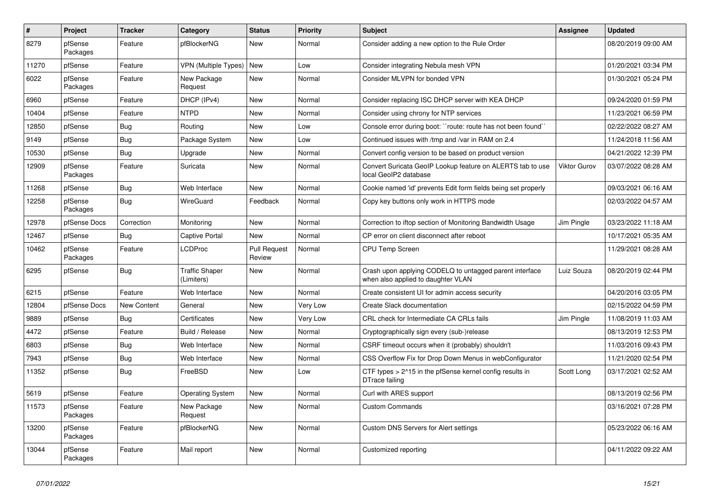| $\vert$ # | <b>Project</b>      | <b>Tracker</b>     | Category                            | <b>Status</b>          | <b>Priority</b> | <b>Subject</b>                                                                                | <b>Assignee</b> | <b>Updated</b>      |
|-----------|---------------------|--------------------|-------------------------------------|------------------------|-----------------|-----------------------------------------------------------------------------------------------|-----------------|---------------------|
| 8279      | pfSense<br>Packages | Feature            | pfBlockerNG                         | New                    | Normal          | Consider adding a new option to the Rule Order                                                |                 | 08/20/2019 09:00 AM |
| 11270     | pfSense             | Feature            | <b>VPN (Multiple Types)</b>         | New                    | Low             | Consider integrating Nebula mesh VPN                                                          |                 | 01/20/2021 03:34 PM |
| 6022      | pfSense<br>Packages | Feature            | New Package<br>Request              | New                    | Normal          | Consider MLVPN for bonded VPN                                                                 |                 | 01/30/2021 05:24 PM |
| 6960      | pfSense             | Feature            | DHCP (IPv4)                         | <b>New</b>             | Normal          | Consider replacing ISC DHCP server with KEA DHCP                                              |                 | 09/24/2020 01:59 PM |
| 10404     | pfSense             | Feature            | <b>NTPD</b>                         | <b>New</b>             | Normal          | Consider using chrony for NTP services                                                        |                 | 11/23/2021 06:59 PM |
| 12850     | pfSense             | Bug                | Routing                             | New                    | Low             | Console error during boot: "route: route has not been found"                                  |                 | 02/22/2022 08:27 AM |
| 9149      | pfSense             | Bug                | Package System                      | New                    | Low             | Continued issues with /tmp and /var in RAM on 2.4                                             |                 | 11/24/2018 11:56 AM |
| 10530     | pfSense             | Bug                | Upgrade                             | <b>New</b>             | Normal          | Convert config version to be based on product version                                         |                 | 04/21/2022 12:39 PM |
| 12909     | pfSense<br>Packages | Feature            | Suricata                            | <b>New</b>             | Normal          | Convert Suricata GeoIP Lookup feature on ALERTS tab to use<br>local GeoIP2 database           | Viktor Gurov    | 03/07/2022 08:28 AM |
| 11268     | pfSense             | Bug                | Web Interface                       | <b>New</b>             | Normal          | Cookie named 'id' prevents Edit form fields being set properly                                |                 | 09/03/2021 06:16 AM |
| 12258     | pfSense<br>Packages | Bug                | WireGuard                           | Feedback               | Normal          | Copy key buttons only work in HTTPS mode                                                      |                 | 02/03/2022 04:57 AM |
| 12978     | pfSense Docs        | Correction         | Monitoring                          | <b>New</b>             | Normal          | Correction to iftop section of Monitoring Bandwidth Usage                                     | Jim Pingle      | 03/23/2022 11:18 AM |
| 12467     | pfSense             | Bug                | Captive Portal                      | New                    | Normal          | CP error on client disconnect after reboot                                                    |                 | 10/17/2021 05:35 AM |
| 10462     | pfSense<br>Packages | Feature            | <b>LCDProc</b>                      | Pull Request<br>Review | Normal          | <b>CPU Temp Screen</b>                                                                        |                 | 11/29/2021 08:28 AM |
| 6295      | pfSense             | <b>Bug</b>         | <b>Traffic Shaper</b><br>(Limiters) | <b>New</b>             | Normal          | Crash upon applying CODELQ to untagged parent interface<br>when also applied to daughter VLAN | Luiz Souza      | 08/20/2019 02:44 PM |
| 6215      | pfSense             | Feature            | Web Interface                       | <b>New</b>             | Normal          | Create consistent UI for admin access security                                                |                 | 04/20/2016 03:05 PM |
| 12804     | pfSense Docs        | <b>New Content</b> | General                             | <b>New</b>             | Very Low        | Create Slack documentation                                                                    |                 | 02/15/2022 04:59 PM |
| 9889      | pfSense             | Bug                | Certificates                        | New                    | Very Low        | CRL check for Intermediate CA CRLs fails                                                      | Jim Pingle      | 11/08/2019 11:03 AM |
| 4472      | pfSense             | Feature            | Build / Release                     | New                    | Normal          | Cryptographically sign every (sub-)release                                                    |                 | 08/13/2019 12:53 PM |
| 6803      | pfSense             | <b>Bug</b>         | Web Interface                       | <b>New</b>             | Normal          | CSRF timeout occurs when it (probably) shouldn't                                              |                 | 11/03/2016 09:43 PM |
| 7943      | pfSense             | Bug                | Web Interface                       | <b>New</b>             | Normal          | CSS Overflow Fix for Drop Down Menus in webConfigurator                                       |                 | 11/21/2020 02:54 PM |
| 11352     | pfSense             | <b>Bug</b>         | FreeBSD                             | <b>New</b>             | Low             | CTF types > 2^15 in the pfSense kernel config results in<br>DTrace failing                    | Scott Long      | 03/17/2021 02:52 AM |
| 5619      | pfSense             | Feature            | <b>Operating System</b>             | <b>New</b>             | Normal          | Curl with ARES support                                                                        |                 | 08/13/2019 02:56 PM |
| 11573     | pfSense<br>Packages | Feature            | New Package<br>Request              | New                    | Normal          | <b>Custom Commands</b>                                                                        |                 | 03/16/2021 07:28 PM |
| 13200     | pfSense<br>Packages | Feature            | pfBlockerNG                         | <b>New</b>             | Normal          | Custom DNS Servers for Alert settings                                                         |                 | 05/23/2022 06:16 AM |
| 13044     | pfSense<br>Packages | Feature            | Mail report                         | <b>New</b>             | Normal          | Customized reporting                                                                          |                 | 04/11/2022 09:22 AM |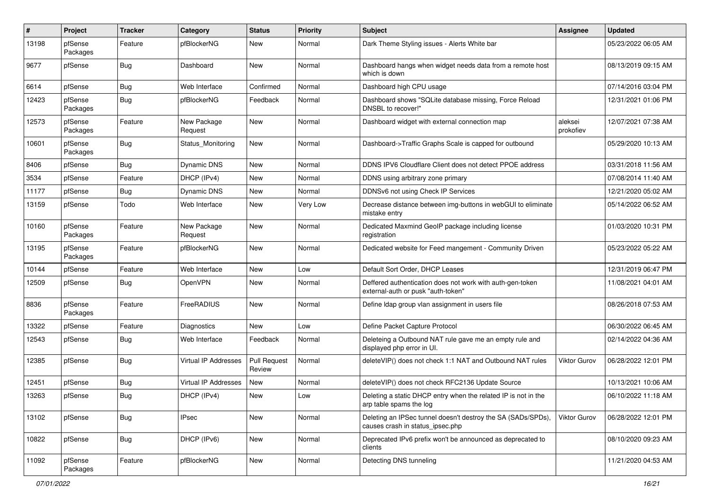| #     | Project             | <b>Tracker</b> | Category                 | <b>Status</b>                 | <b>Priority</b> | Subject                                                                                         | Assignee             | <b>Updated</b>      |
|-------|---------------------|----------------|--------------------------|-------------------------------|-----------------|-------------------------------------------------------------------------------------------------|----------------------|---------------------|
| 13198 | pfSense<br>Packages | Feature        | pfBlockerNG              | New                           | Normal          | Dark Theme Styling issues - Alerts White bar                                                    |                      | 05/23/2022 06:05 AM |
| 9677  | pfSense             | Bug            | Dashboard                | New                           | Normal          | Dashboard hangs when widget needs data from a remote host<br>which is down                      |                      | 08/13/2019 09:15 AM |
| 6614  | pfSense             | Bug            | Web Interface            | Confirmed                     | Normal          | Dashboard high CPU usage                                                                        |                      | 07/14/2016 03:04 PM |
| 12423 | pfSense<br>Packages | Bug            | pfBlockerNG              | Feedback                      | Normal          | Dashboard shows "SQLite database missing, Force Reload<br>DNSBL to recover!"                    |                      | 12/31/2021 01:06 PM |
| 12573 | pfSense<br>Packages | Feature        | New Package<br>Request   | <b>New</b>                    | Normal          | Dashboard widget with external connection map                                                   | aleksei<br>prokofiev | 12/07/2021 07:38 AM |
| 10601 | pfSense<br>Packages | Bug            | <b>Status Monitoring</b> | New                           | Normal          | Dashboard->Traffic Graphs Scale is capped for outbound                                          |                      | 05/29/2020 10:13 AM |
| 8406  | pfSense             | Bug            | Dynamic DNS              | <b>New</b>                    | Normal          | DDNS IPV6 Cloudflare Client does not detect PPOE address                                        |                      | 03/31/2018 11:56 AM |
| 3534  | pfSense             | Feature        | DHCP (IPv4)              | New                           | Normal          | DDNS using arbitrary zone primary                                                               |                      | 07/08/2014 11:40 AM |
| 11177 | pfSense             | <b>Bug</b>     | Dynamic DNS              | New                           | Normal          | DDNSv6 not using Check IP Services                                                              |                      | 12/21/2020 05:02 AM |
| 13159 | pfSense             | Todo           | Web Interface            | New                           | Very Low        | Decrease distance between img-buttons in webGUI to eliminate<br>mistake entry                   |                      | 05/14/2022 06:52 AM |
| 10160 | pfSense<br>Packages | Feature        | New Package<br>Request   | New                           | Normal          | Dedicated Maxmind GeoIP package including license<br>registration                               |                      | 01/03/2020 10:31 PM |
| 13195 | pfSense<br>Packages | Feature        | pfBlockerNG              | <b>New</b>                    | Normal          | Dedicated website for Feed mangement - Community Driven                                         |                      | 05/23/2022 05:22 AM |
| 10144 | pfSense             | Feature        | Web Interface            | <b>New</b>                    | Low             | Default Sort Order, DHCP Leases                                                                 |                      | 12/31/2019 06:47 PM |
| 12509 | pfSense             | Bug            | OpenVPN                  | New                           | Normal          | Deffered authentication does not work with auth-gen-token<br>external-auth or pusk "auth-token" |                      | 11/08/2021 04:01 AM |
| 8836  | pfSense<br>Packages | Feature        | FreeRADIUS               | <b>New</b>                    | Normal          | Define Idap group vlan assignment in users file                                                 |                      | 08/26/2018 07:53 AM |
| 13322 | pfSense             | Feature        | Diagnostics              | New                           | Low             | Define Packet Capture Protocol                                                                  |                      | 06/30/2022 06:45 AM |
| 12543 | pfSense             | <b>Bug</b>     | Web Interface            | Feedback                      | Normal          | Deleteing a Outbound NAT rule gave me an empty rule and<br>displayed php error in UI.           |                      | 02/14/2022 04:36 AM |
| 12385 | pfSense             | Bug            | Virtual IP Addresses     | <b>Pull Request</b><br>Review | Normal          | deleteVIP() does not check 1:1 NAT and Outbound NAT rules                                       | Viktor Gurov         | 06/28/2022 12:01 PM |
| 12451 | pfSense             | <b>Bug</b>     | Virtual IP Addresses     | New                           | Normal          | deleteVIP() does not check RFC2136 Update Source                                                |                      | 10/13/2021 10:06 AM |
| 13263 | pfSense             | Bug            | DHCP (IPv4)              | New                           | Low             | Deleting a static DHCP entry when the related IP is not in the<br>arp table spams the log       |                      | 06/10/2022 11:18 AM |
| 13102 | pfSense             | Bug            | <b>IPsec</b>             | New                           | Normal          | Deleting an IPSec tunnel doesn't destroy the SA (SADs/SPDs)<br>causes crash in status_ipsec.php | <b>Viktor Gurov</b>  | 06/28/2022 12:01 PM |
| 10822 | pfSense             | Bug            | DHCP (IPv6)              | New                           | Normal          | Deprecated IPv6 prefix won't be announced as deprecated to<br>clients                           |                      | 08/10/2020 09:23 AM |
| 11092 | pfSense<br>Packages | Feature        | pfBlockerNG              | New                           | Normal          | Detecting DNS tunneling                                                                         |                      | 11/21/2020 04:53 AM |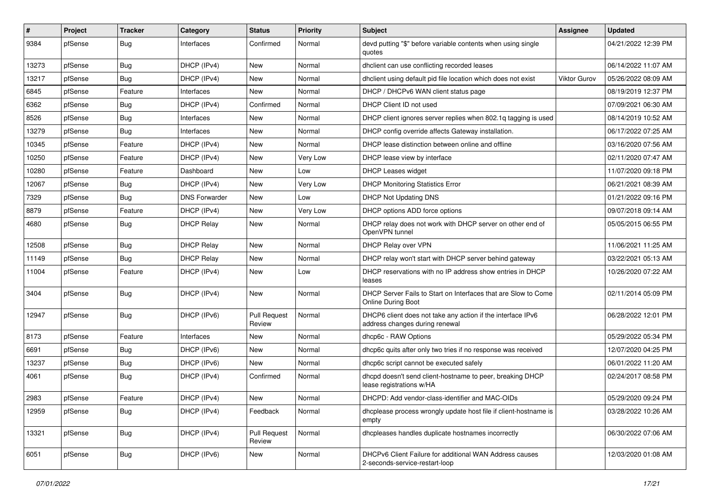| $\#$  | Project | <b>Tracker</b> | Category             | <b>Status</b>                 | <b>Priority</b> | Subject                                                                                       | <b>Assignee</b>     | <b>Updated</b>      |
|-------|---------|----------------|----------------------|-------------------------------|-----------------|-----------------------------------------------------------------------------------------------|---------------------|---------------------|
| 9384  | pfSense | Bug            | Interfaces           | Confirmed                     | Normal          | devd putting "\$" before variable contents when using single<br>quotes                        |                     | 04/21/2022 12:39 PM |
| 13273 | pfSense | Bug            | DHCP (IPv4)          | New                           | Normal          | dhclient can use conflicting recorded leases                                                  |                     | 06/14/2022 11:07 AM |
| 13217 | pfSense | Bug            | DHCP (IPv4)          | New                           | Normal          | dhclient using default pid file location which does not exist                                 | <b>Viktor Gurov</b> | 05/26/2022 08:09 AM |
| 6845  | pfSense | Feature        | Interfaces           | New                           | Normal          | DHCP / DHCPv6 WAN client status page                                                          |                     | 08/19/2019 12:37 PM |
| 6362  | pfSense | Bug            | DHCP (IPv4)          | Confirmed                     | Normal          | DHCP Client ID not used                                                                       |                     | 07/09/2021 06:30 AM |
| 8526  | pfSense | Bug            | Interfaces           | New                           | Normal          | DHCP client ignores server replies when 802.1q tagging is used                                |                     | 08/14/2019 10:52 AM |
| 13279 | pfSense | Bug            | Interfaces           | New                           | Normal          | DHCP config override affects Gateway installation.                                            |                     | 06/17/2022 07:25 AM |
| 10345 | pfSense | Feature        | DHCP (IPv4)          | New                           | Normal          | DHCP lease distinction between online and offline                                             |                     | 03/16/2020 07:56 AM |
| 10250 | pfSense | Feature        | DHCP (IPv4)          | <b>New</b>                    | Very Low        | DHCP lease view by interface                                                                  |                     | 02/11/2020 07:47 AM |
| 10280 | pfSense | Feature        | Dashboard            | New                           | Low             | <b>DHCP Leases widget</b>                                                                     |                     | 11/07/2020 09:18 PM |
| 12067 | pfSense | <b>Bug</b>     | DHCP (IPv4)          | New                           | Very Low        | <b>DHCP Monitoring Statistics Error</b>                                                       |                     | 06/21/2021 08:39 AM |
| 7329  | pfSense | Bug            | <b>DNS Forwarder</b> | New                           | Low             | DHCP Not Updating DNS                                                                         |                     | 01/21/2022 09:16 PM |
| 8879  | pfSense | Feature        | DHCP (IPv4)          | New                           | Very Low        | DHCP options ADD force options                                                                |                     | 09/07/2018 09:14 AM |
| 4680  | pfSense | <b>Bug</b>     | <b>DHCP Relay</b>    | New                           | Normal          | DHCP relay does not work with DHCP server on other end of<br>OpenVPN tunnel                   |                     | 05/05/2015 06:55 PM |
| 12508 | pfSense | Bug            | <b>DHCP Relay</b>    | New                           | Normal          | DHCP Relay over VPN                                                                           |                     | 11/06/2021 11:25 AM |
| 11149 | pfSense | Bug            | <b>DHCP Relay</b>    | New                           | Normal          | DHCP relay won't start with DHCP server behind gateway                                        |                     | 03/22/2021 05:13 AM |
| 11004 | pfSense | Feature        | DHCP (IPv4)          | New                           | Low             | DHCP reservations with no IP address show entries in DHCP<br>leases                           |                     | 10/26/2020 07:22 AM |
| 3404  | pfSense | Bug            | DHCP (IPv4)          | New                           | Normal          | DHCP Server Fails to Start on Interfaces that are Slow to Come<br><b>Online During Boot</b>   |                     | 02/11/2014 05:09 PM |
| 12947 | pfSense | Bug            | DHCP (IPv6)          | Pull Request<br>Review        | Normal          | DHCP6 client does not take any action if the interface IPv6<br>address changes during renewal |                     | 06/28/2022 12:01 PM |
| 8173  | pfSense | Feature        | Interfaces           | New                           | Normal          | dhcp6c - RAW Options                                                                          |                     | 05/29/2022 05:34 PM |
| 6691  | pfSense | <b>Bug</b>     | DHCP (IPv6)          | New                           | Normal          | dhcp6c quits after only two tries if no response was received                                 |                     | 12/07/2020 04:25 PM |
| 13237 | pfSense | <b>Bug</b>     | DHCP (IPv6)          | New                           | Normal          | dhcp6c script cannot be executed safely                                                       |                     | 06/01/2022 11:20 AM |
| 4061  | pfSense | <b>Bug</b>     | DHCP (IPv4)          | Confirmed                     | Normal          | dhcpd doesn't send client-hostname to peer, breaking DHCP<br>lease registrations w/HA         |                     | 02/24/2017 08:58 PM |
| 2983  | pfSense | Feature        | DHCP (IPv4)          | New                           | Normal          | DHCPD: Add vendor-class-identifier and MAC-OIDs                                               |                     | 05/29/2020 09:24 PM |
| 12959 | pfSense | <b>Bug</b>     | DHCP (IPv4)          | Feedback                      | Normal          | dhcplease process wrongly update host file if client-hostname is<br>empty                     |                     | 03/28/2022 10:26 AM |
| 13321 | pfSense | Bug            | DHCP (IPv4)          | <b>Pull Request</b><br>Review | Normal          | dhcpleases handles duplicate hostnames incorrectly                                            |                     | 06/30/2022 07:06 AM |
| 6051  | pfSense | Bug            | DHCP (IPv6)          | New                           | Normal          | DHCPv6 Client Failure for additional WAN Address causes<br>2-seconds-service-restart-loop     |                     | 12/03/2020 01:08 AM |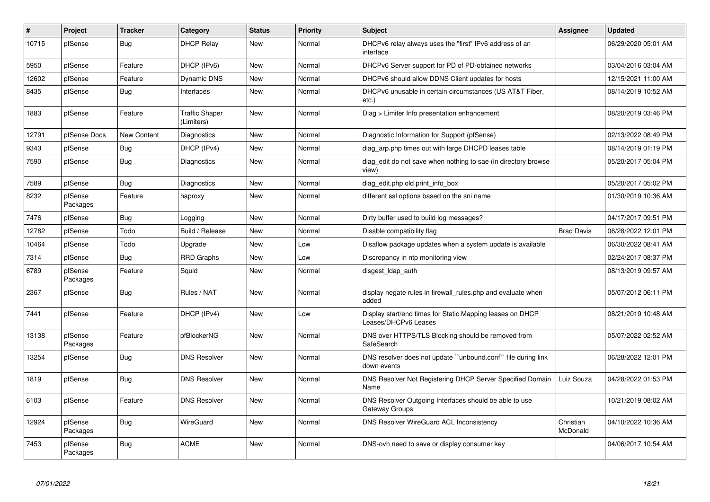| #     | Project             | <b>Tracker</b> | Category                            | <b>Status</b> | Priority | <b>Subject</b>                                                                    | <b>Assignee</b>       | <b>Updated</b>      |
|-------|---------------------|----------------|-------------------------------------|---------------|----------|-----------------------------------------------------------------------------------|-----------------------|---------------------|
| 10715 | pfSense             | Bug            | <b>DHCP Relay</b>                   | New           | Normal   | DHCPv6 relay always uses the "first" IPv6 address of an<br>interface              |                       | 06/29/2020 05:01 AM |
| 5950  | pfSense             | Feature        | DHCP (IPv6)                         | <b>New</b>    | Normal   | DHCPv6 Server support for PD of PD-obtained networks                              |                       | 03/04/2016 03:04 AM |
| 12602 | pfSense             | Feature        | Dynamic DNS                         | <b>New</b>    | Normal   | DHCPv6 should allow DDNS Client updates for hosts                                 |                       | 12/15/2021 11:00 AM |
| 8435  | pfSense             | <b>Bug</b>     | Interfaces                          | <b>New</b>    | Normal   | DHCPv6 unusable in certain circumstances (US AT&T Fiber,<br>$etc.$ )              |                       | 08/14/2019 10:52 AM |
| 1883  | pfSense             | Feature        | <b>Traffic Shaper</b><br>(Limiters) | <b>New</b>    | Normal   | Diag > Limiter Info presentation enhancement                                      |                       | 08/20/2019 03:46 PM |
| 12791 | pfSense Docs        | New Content    | Diagnostics                         | <b>New</b>    | Normal   | Diagnostic Information for Support (pfSense)                                      |                       | 02/13/2022 08:49 PM |
| 9343  | pfSense             | Bug            | DHCP (IPv4)                         | New           | Normal   | diag_arp.php times out with large DHCPD leases table                              |                       | 08/14/2019 01:19 PM |
| 7590  | pfSense             | <b>Bug</b>     | Diagnostics                         | <b>New</b>    | Normal   | diag edit do not save when nothing to sae (in directory browse<br>view)           |                       | 05/20/2017 05:04 PM |
| 7589  | pfSense             | <b>Bug</b>     | <b>Diagnostics</b>                  | <b>New</b>    | Normal   | diag edit.php old print info box                                                  |                       | 05/20/2017 05:02 PM |
| 8232  | pfSense<br>Packages | Feature        | haproxy                             | New           | Normal   | different ssl options based on the sni name                                       |                       | 01/30/2019 10:36 AM |
| 7476  | pfSense             | <b>Bug</b>     | Logging                             | <b>New</b>    | Normal   | Dirty buffer used to build log messages?                                          |                       | 04/17/2017 09:51 PM |
| 12782 | pfSense             | Todo           | Build / Release                     | New           | Normal   | Disable compatibility flag                                                        | <b>Brad Davis</b>     | 06/28/2022 12:01 PM |
| 10464 | pfSense             | Todo           | Upgrade                             | <b>New</b>    | Low      | Disallow package updates when a system update is available                        |                       | 06/30/2022 08:41 AM |
| 7314  | pfSense             | Bug            | <b>RRD Graphs</b>                   | New           | Low      | Discrepancy in ntp monitoring view                                                |                       | 02/24/2017 08:37 PM |
| 6789  | pfSense<br>Packages | Feature        | Squid                               | <b>New</b>    | Normal   | disgest Idap auth                                                                 |                       | 08/13/2019 09:57 AM |
| 2367  | pfSense             | Bug            | Rules / NAT                         | <b>New</b>    | Normal   | display negate rules in firewall rules php and evaluate when<br>added             |                       | 05/07/2012 06:11 PM |
| 7441  | pfSense             | Feature        | DHCP (IPv4)                         | <b>New</b>    | Low      | Display start/end times for Static Mapping leases on DHCP<br>Leases/DHCPv6 Leases |                       | 08/21/2019 10:48 AM |
| 13138 | pfSense<br>Packages | Feature        | pfBlockerNG                         | <b>New</b>    | Normal   | DNS over HTTPS/TLS Blocking should be removed from<br>SafeSearch                  |                       | 05/07/2022 02:52 AM |
| 13254 | pfSense             | Bug            | <b>DNS Resolver</b>                 | New           | Normal   | DNS resolver does not update "unbound.conf" file during link<br>down events       |                       | 06/28/2022 12:01 PM |
| 1819  | pfSense             | Bug            | <b>DNS Resolver</b>                 | New           | Normal   | DNS Resolver Not Registering DHCP Server Specified Domain<br>Name                 | Luiz Souza            | 04/28/2022 01:53 PM |
| 6103  | pfSense             | Feature        | <b>DNS Resolver</b>                 | New           | Normal   | DNS Resolver Outgoing Interfaces should be able to use<br>Gateway Groups          |                       | 10/21/2019 08:02 AM |
| 12924 | pfSense<br>Packages | Bug            | WireGuard                           | New           | Normal   | DNS Resolver WireGuard ACL Inconsistency                                          | Christian<br>McDonald | 04/10/2022 10:36 AM |
| 7453  | pfSense<br>Packages | Bug            | <b>ACME</b>                         | <b>New</b>    | Normal   | DNS-ovh need to save or display consumer key                                      |                       | 04/06/2017 10:54 AM |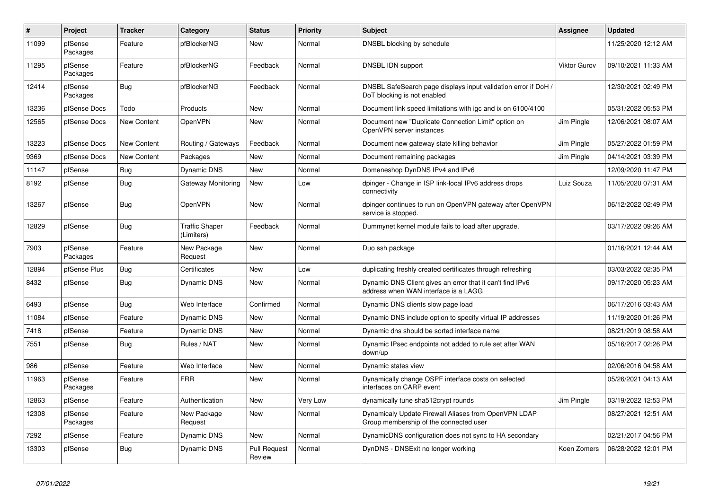| #     | Project             | <b>Tracker</b> | Category                            | <b>Status</b>                 | Priority | <b>Subject</b>                                                                                    | <b>Assignee</b> | <b>Updated</b>      |
|-------|---------------------|----------------|-------------------------------------|-------------------------------|----------|---------------------------------------------------------------------------------------------------|-----------------|---------------------|
| 11099 | pfSense<br>Packages | Feature        | pfBlockerNG                         | New                           | Normal   | DNSBL blocking by schedule                                                                        |                 | 11/25/2020 12:12 AM |
| 11295 | pfSense<br>Packages | Feature        | pfBlockerNG                         | Feedback                      | Normal   | DNSBL IDN support                                                                                 | Viktor Gurov    | 09/10/2021 11:33 AM |
| 12414 | pfSense<br>Packages | Bug            | pfBlockerNG                         | Feedback                      | Normal   | DNSBL SafeSearch page displays input validation error if DoH /<br>DoT blocking is not enabled     |                 | 12/30/2021 02:49 PM |
| 13236 | pfSense Docs        | Todo           | Products                            | New                           | Normal   | Document link speed limitations with igc and ix on 6100/4100                                      |                 | 05/31/2022 05:53 PM |
| 12565 | pfSense Docs        | New Content    | OpenVPN                             | New                           | Normal   | Document new "Duplicate Connection Limit" option on<br>OpenVPN server instances                   | Jim Pingle      | 12/06/2021 08:07 AM |
| 13223 | pfSense Docs        | New Content    | Routing / Gateways                  | Feedback                      | Normal   | Document new gateway state killing behavior                                                       | Jim Pingle      | 05/27/2022 01:59 PM |
| 9369  | pfSense Docs        | New Content    | Packages                            | <b>New</b>                    | Normal   | Document remaining packages                                                                       | Jim Pingle      | 04/14/2021 03:39 PM |
| 11147 | pfSense             | <b>Bug</b>     | Dynamic DNS                         | <b>New</b>                    | Normal   | Domeneshop DynDNS IPv4 and IPv6                                                                   |                 | 12/09/2020 11:47 PM |
| 8192  | pfSense             | <b>Bug</b>     | Gateway Monitoring                  | New                           | Low      | dpinger - Change in ISP link-local IPv6 address drops<br>connectivity                             | Luiz Souza      | 11/05/2020 07:31 AM |
| 13267 | pfSense             | Bug            | OpenVPN                             | <b>New</b>                    | Normal   | dpinger continues to run on OpenVPN gateway after OpenVPN<br>service is stopped.                  |                 | 06/12/2022 02:49 PM |
| 12829 | pfSense             | <b>Bug</b>     | <b>Traffic Shaper</b><br>(Limiters) | Feedback                      | Normal   | Dummynet kernel module fails to load after upgrade.                                               |                 | 03/17/2022 09:26 AM |
| 7903  | pfSense<br>Packages | Feature        | New Package<br>Request              | <b>New</b>                    | Normal   | Duo ssh package                                                                                   |                 | 01/16/2021 12:44 AM |
| 12894 | pfSense Plus        | Bug            | Certificates                        | <b>New</b>                    | Low      | duplicating freshly created certificates through refreshing                                       |                 | 03/03/2022 02:35 PM |
| 8432  | pfSense             | Bug            | Dynamic DNS                         | <b>New</b>                    | Normal   | Dynamic DNS Client gives an error that it can't find IPv6<br>address when WAN interface is a LAGG |                 | 09/17/2020 05:23 AM |
| 6493  | pfSense             | <b>Bug</b>     | Web Interface                       | Confirmed                     | Normal   | Dynamic DNS clients slow page load                                                                |                 | 06/17/2016 03:43 AM |
| 11084 | pfSense             | Feature        | Dynamic DNS                         | <b>New</b>                    | Normal   | Dynamic DNS include option to specify virtual IP addresses                                        |                 | 11/19/2020 01:26 PM |
| 7418  | pfSense             | Feature        | Dynamic DNS                         | <b>New</b>                    | Normal   | Dynamic dns should be sorted interface name                                                       |                 | 08/21/2019 08:58 AM |
| 7551  | pfSense             | <b>Bug</b>     | Rules / NAT                         | <b>New</b>                    | Normal   | Dynamic IPsec endpoints not added to rule set after WAN<br>down/up                                |                 | 05/16/2017 02:26 PM |
| 986   | pfSense             | Feature        | Web Interface                       | New                           | Normal   | Dynamic states view                                                                               |                 | 02/06/2016 04:58 AM |
| 11963 | pfSense<br>Packages | Feature        | <b>FRR</b>                          | New                           | Normal   | Dynamically change OSPF interface costs on selected<br>interfaces on CARP event                   |                 | 05/26/2021 04:13 AM |
| 12863 | pfSense             | Feature        | Authentication                      | <b>New</b>                    | Very Low | dynamically tune sha512crypt rounds                                                               | Jim Pingle      | 03/19/2022 12:53 PM |
| 12308 | pfSense<br>Packages | Feature        | New Package<br>Request              | <b>New</b>                    | Normal   | Dynamicaly Update Firewall Aliases from OpenVPN LDAP<br>Group membership of the connected user    |                 | 08/27/2021 12:51 AM |
| 7292  | pfSense             | Feature        | Dynamic DNS                         | <b>New</b>                    | Normal   | DynamicDNS configuration does not sync to HA secondary                                            |                 | 02/21/2017 04:56 PM |
| 13303 | pfSense             | <b>Bug</b>     | Dynamic DNS                         | <b>Pull Request</b><br>Review | Normal   | DynDNS - DNSExit no longer working                                                                | Koen Zomers     | 06/28/2022 12:01 PM |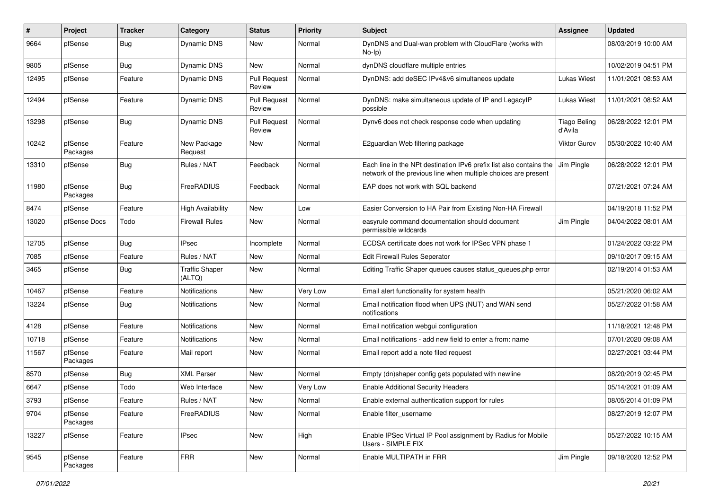| #     | Project             | <b>Tracker</b> | Category                        | <b>Status</b>                 | <b>Priority</b> | <b>Subject</b>                                                                                                                        | <b>Assignee</b>                | <b>Updated</b>      |
|-------|---------------------|----------------|---------------------------------|-------------------------------|-----------------|---------------------------------------------------------------------------------------------------------------------------------------|--------------------------------|---------------------|
| 9664  | pfSense             | Bug            | Dynamic DNS                     | New                           | Normal          | DynDNS and Dual-wan problem with CloudFlare (works with<br>$No-Ip)$                                                                   |                                | 08/03/2019 10:00 AM |
| 9805  | pfSense             | Bug            | Dynamic DNS                     | New                           | Normal          | dynDNS cloudflare multiple entries                                                                                                    |                                | 10/02/2019 04:51 PM |
| 12495 | pfSense             | Feature        | <b>Dynamic DNS</b>              | <b>Pull Request</b><br>Review | Normal          | DynDNS: add deSEC IPv4&v6 simultaneos update                                                                                          | Lukas Wiest                    | 11/01/2021 08:53 AM |
| 12494 | pfSense             | Feature        | Dynamic DNS                     | <b>Pull Request</b><br>Review | Normal          | DynDNS: make simultaneous update of IP and LegacyIP<br>possible                                                                       | Lukas Wiest                    | 11/01/2021 08:52 AM |
| 13298 | pfSense             | Bug            | Dynamic DNS                     | Pull Request<br>Review        | Normal          | Dynv6 does not check response code when updating                                                                                      | <b>Tiago Beling</b><br>d'Avila | 06/28/2022 12:01 PM |
| 10242 | pfSense<br>Packages | Feature        | New Package<br>Request          | New                           | Normal          | E2guardian Web filtering package                                                                                                      | Viktor Gurov                   | 05/30/2022 10:40 AM |
| 13310 | pfSense             | Bug            | Rules / NAT                     | Feedback                      | Normal          | Each line in the NPt destination IPv6 prefix list also contains the<br>network of the previous line when multiple choices are present | Jim Pingle                     | 06/28/2022 12:01 PM |
| 11980 | pfSense<br>Packages | Bug            | FreeRADIUS                      | Feedback                      | Normal          | EAP does not work with SQL backend                                                                                                    |                                | 07/21/2021 07:24 AM |
| 8474  | pfSense             | Feature        | <b>High Availability</b>        | <b>New</b>                    | Low             | Easier Conversion to HA Pair from Existing Non-HA Firewall                                                                            |                                | 04/19/2018 11:52 PM |
| 13020 | pfSense Docs        | Todo           | <b>Firewall Rules</b>           | New                           | Normal          | easyrule command documentation should document<br>permissible wildcards                                                               | Jim Pingle                     | 04/04/2022 08:01 AM |
| 12705 | pfSense             | Bug            | <b>IPsec</b>                    | Incomplete                    | Normal          | ECDSA certificate does not work for IPSec VPN phase 1                                                                                 |                                | 01/24/2022 03:22 PM |
| 7085  | pfSense             | Feature        | Rules / NAT                     | New                           | Normal          | <b>Edit Firewall Rules Seperator</b>                                                                                                  |                                | 09/10/2017 09:15 AM |
| 3465  | pfSense             | Bug            | <b>Traffic Shaper</b><br>(ALTQ) | New                           | Normal          | Editing Traffic Shaper queues causes status_queues.php error                                                                          |                                | 02/19/2014 01:53 AM |
| 10467 | pfSense             | Feature        | Notifications                   | New                           | Very Low        | Email alert functionality for system health                                                                                           |                                | 05/21/2020 06:02 AM |
| 13224 | pfSense             | Bug            | Notifications                   | New                           | Normal          | Email notification flood when UPS (NUT) and WAN send<br>notifications                                                                 |                                | 05/27/2022 01:58 AM |
| 4128  | pfSense             | Feature        | Notifications                   | <b>New</b>                    | Normal          | Email notification webgui configuration                                                                                               |                                | 11/18/2021 12:48 PM |
| 10718 | pfSense             | Feature        | Notifications                   | New                           | Normal          | Email notifications - add new field to enter a from: name                                                                             |                                | 07/01/2020 09:08 AM |
| 11567 | pfSense<br>Packages | Feature        | Mail report                     | New                           | Normal          | Email report add a note filed request                                                                                                 |                                | 02/27/2021 03:44 PM |
| 8570  | pfSense             | Bug            | <b>XML Parser</b>               | <b>New</b>                    | Normal          | Empty (dn)shaper config gets populated with newline                                                                                   |                                | 08/20/2019 02:45 PM |
| 6647  | pfSense             | Todo           | Web Interface                   | New                           | Very Low        | <b>Enable Additional Security Headers</b>                                                                                             |                                | 05/14/2021 01:09 AM |
| 3793  | pfSense             | Feature        | Rules / NAT                     | New                           | Normal          | Enable external authentication support for rules                                                                                      |                                | 08/05/2014 01:09 PM |
| 9704  | pfSense<br>Packages | Feature        | FreeRADIUS                      | New                           | Normal          | Enable filter_username                                                                                                                |                                | 08/27/2019 12:07 PM |
| 13227 | pfSense             | Feature        | <b>IPsec</b>                    | New                           | High            | Enable IPSec Virtual IP Pool assignment by Radius for Mobile<br>Users - SIMPLE FIX                                                    |                                | 05/27/2022 10:15 AM |
| 9545  | pfSense<br>Packages | Feature        | <b>FRR</b>                      | New                           | Normal          | Enable MULTIPATH in FRR                                                                                                               | Jim Pingle                     | 09/18/2020 12:52 PM |